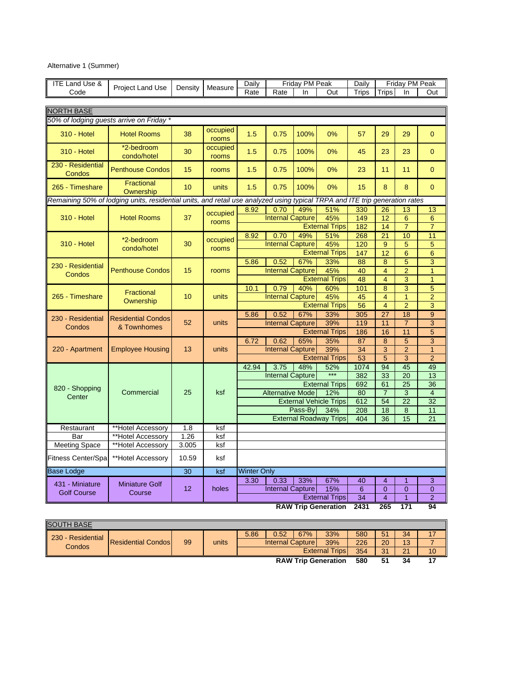| <b>ITE Land Use &amp;</b> |                                                                                                                             | Density     | Measure           | Daily              |                                 | Friday PM Peak |                               | Daily            |                      | Friday PM Peak  |                               |
|---------------------------|-----------------------------------------------------------------------------------------------------------------------------|-------------|-------------------|--------------------|---------------------------------|----------------|-------------------------------|------------------|----------------------|-----------------|-------------------------------|
| Code                      | Project Land Use                                                                                                            |             |                   | Rate               | Rate                            | In             | Out                           | Trips            | <b>Trips</b>         | In              | Out                           |
|                           |                                                                                                                             |             |                   |                    |                                 |                |                               |                  |                      |                 |                               |
| <b>NORTH BASE</b>         |                                                                                                                             |             |                   |                    |                                 |                |                               |                  |                      |                 |                               |
|                           | 50% of lodging guests arrive on Friday *                                                                                    |             |                   |                    |                                 |                |                               |                  |                      |                 |                               |
| <b>310 - Hotel</b>        | <b>Hotel Rooms</b>                                                                                                          | 38          | occupied<br>rooms | 1.5                | 0.75                            | 100%           | 0%                            | 57               | 29                   | 29              | $\mathbf{0}$                  |
| <b>310 - Hotel</b>        | *2-bedroom<br>condo/hotel                                                                                                   | 30          | occupied<br>rooms | 1.5                | 0.75                            | 100%           | 0%                            | 45               | 23                   | 23              | $\overline{0}$                |
| 230 Residential<br>Condos | <b>Penthouse Condos</b>                                                                                                     | 15          | rooms             | 1.5                | 0.75                            | 100%           | 0%                            | 23               | 11                   | 11              | $\overline{0}$                |
| 265 - Timeshare           | Fractional<br>Ownership                                                                                                     | 10          | units             | 1.5                | 0.75                            | 100%           | 0%                            | 15               | 8                    | 8               | $\mathbf{0}$                  |
|                           | Remaining 50% of lodging units, residential units, and retail use analyzed using typical TRPA and ITE trip generation rates |             |                   |                    |                                 |                |                               |                  |                      |                 |                               |
|                           |                                                                                                                             |             | occupied          | 8.92               | 0.70                            | 49%            | 51%                           | 330              | 26                   | 13              | 13                            |
| <b>310 - Hotel</b>        | <b>Hotel Rooms</b>                                                                                                          | 37          | rooms             |                    | <b>Internal Capture</b>         |                | 45%                           | 149              | 12                   | 6               | 6                             |
|                           |                                                                                                                             |             |                   |                    |                                 |                | <b>External Trips</b>         | 182              | 14                   | $\overline{7}$  | $\overline{7}$                |
|                           | *2-bedroom                                                                                                                  |             | occupied          | 8.92               | 0.70                            | 49%            | 51%                           | 268              | 21                   | 10              | 11                            |
| <b>310 - Hotel</b>        | condo/hotel                                                                                                                 | 30          | rooms             |                    | <b>Internal Capture</b>         |                | 45%                           | 120              | 9                    | 5               | 5                             |
|                           |                                                                                                                             |             |                   |                    |                                 |                | <b>External Trips</b>         | 147              | 12                   | 6               | 6                             |
|                           |                                                                                                                             |             |                   | 5.86               | 0.52                            | 67%            | 33%                           | 88               | 8                    | $\overline{5}$  | $\overline{3}$                |
| 230 - Residential         | <b>Penthouse Condos</b>                                                                                                     | 15          | rooms             |                    | <b>Internal Capture</b>         |                | 45%                           | 40               | 4                    | $\overline{2}$  | $\overline{1}$                |
| Condos                    |                                                                                                                             |             |                   |                    |                                 |                | <b>External Trips</b>         | 48               | $\overline{4}$       | 3               | $\overline{1}$                |
|                           |                                                                                                                             |             |                   | 10.1               | 0.79                            | 40%            | 60%                           | 101              | 8                    | $\overline{3}$  | 5                             |
| 265 - Timeshare           | Fractional                                                                                                                  | 10          | units             |                    | <b>Internal Capture</b>         |                | 45%                           | 45               | 4                    | $\overline{1}$  | $\overline{2}$                |
|                           | Ownership                                                                                                                   |             |                   |                    |                                 |                | <b>External Trips</b>         | 56               | $\overline{4}$       | $\overline{2}$  | 3                             |
|                           |                                                                                                                             |             |                   | 5.86               | 0.52                            | 67%            | 33%                           | $\overline{305}$ | 27                   | $\overline{18}$ | $\overline{9}$                |
| 230 - Residential         | <b>Residential Condos</b>                                                                                                   | 52          | units             |                    | <b>Internal Capture</b>         |                | 39%                           | 119              | 11                   | $\overline{7}$  | 3                             |
| Condos                    | & Townhomes                                                                                                                 |             |                   |                    |                                 |                | <b>External Trips</b>         | 186              | 16                   | 11              | 5                             |
|                           |                                                                                                                             |             |                   | 6.72               | 0.62                            | 65%            | 35%                           | 87               | 8                    | 5               | 3                             |
| 220 - Apartment           | <b>Employee Housing</b>                                                                                                     | 13          | units             |                    | <b>Internal Capture</b>         |                | 39%                           | 34               | 3                    | $\overline{2}$  | $\overline{1}$                |
|                           |                                                                                                                             |             |                   |                    |                                 |                | <b>External Trips</b>         | 53               | 5                    | 3               | $\overline{2}$                |
|                           |                                                                                                                             |             |                   | 42.94              |                                 | 48%            | 52%                           | 1074             | 94                   | 45              | 49                            |
|                           |                                                                                                                             |             |                   |                    | 3.75<br><b>Internal Capture</b> |                |                               |                  | 33                   | 20              |                               |
|                           |                                                                                                                             |             |                   |                    |                                 |                |                               | 382              |                      |                 | 13                            |
| 820 - Shopping            | Commercial                                                                                                                  | 25          | ksf               |                    | <b>Alternative Mode</b>         |                | <b>External Trips</b><br>12%  | 692<br>80        | 61<br>$\overline{7}$ | 25              | 36<br>$\overline{\mathbf{4}}$ |
| Center                    |                                                                                                                             |             |                   |                    |                                 |                | <b>External Vehicle Trips</b> | 612              | 54                   | 3<br>22         | 32                            |
|                           |                                                                                                                             |             |                   |                    |                                 | Pass-By        | 34%                           | 208              | 18                   |                 | 11                            |
|                           |                                                                                                                             |             |                   |                    |                                 |                | <b>External Roadway Trips</b> |                  |                      | $\bf8$          |                               |
|                           |                                                                                                                             |             |                   |                    |                                 |                |                               | 404              | 36                   | 15              | 21                            |
| Restaurant                | **Hotel Accessory                                                                                                           | 1.8<br>1.26 | ksf               |                    |                                 |                |                               |                  |                      |                 |                               |
| Bar                       | **Hotel Accessory                                                                                                           |             | ksf               |                    |                                 |                |                               |                  |                      |                 |                               |
| <b>Meeting Space</b>      | **Hotel Accessory                                                                                                           | 3.005       | ksf               |                    |                                 |                |                               |                  |                      |                 |                               |
| Fitness Center/Spa        | **Hotel Accessory                                                                                                           | 10.59       | ksf               |                    |                                 |                |                               |                  |                      |                 |                               |
| Base Lodge                |                                                                                                                             | 30          | ksf               | <b>Winter Only</b> |                                 |                |                               |                  |                      |                 |                               |
| 431 - Miniature           | <b>Miniature Golf</b>                                                                                                       |             |                   | 3.30               | 0.33                            | 33%            | 67%                           | 40               | 4                    | $\mathbf{1}$    | 3                             |
| <b>Golf Course</b>        | Course                                                                                                                      | 12          | holes             |                    | <b>Internal Capture</b>         |                | 15%                           | 6                | $\overline{0}$       | $\mathbf{0}$    | $\mathbf 0$                   |
|                           |                                                                                                                             |             |                   |                    |                                 |                | <b>External Trips</b>         | 34               | $\overline{4}$       | $\overline{1}$  | $\overline{2}$                |
|                           |                                                                                                                             |             |                   |                    |                                 |                | <b>RAW Trip Generation</b>    | 2431             | 265                  | 171             | 94                            |

| <b>SOUTH BASE</b> |                           |    |       |      |                          |     |                            |     |    |    |    |
|-------------------|---------------------------|----|-------|------|--------------------------|-----|----------------------------|-----|----|----|----|
| 230 - Residential |                           |    |       | 5.86 | 0.52                     | 67% | 33%                        | 580 | 51 | 34 |    |
| Condos            | <b>Residential Condos</b> | 99 | units |      | <b>Internal Capturel</b> |     | 39%                        | 226 | 20 | 13 |    |
|                   |                           |    |       |      |                          |     | <b>External Trips</b>      | 354 | 31 | 21 | 10 |
|                   |                           |    |       |      |                          |     | <b>RAW Trip Generation</b> | 580 | 51 | 34 |    |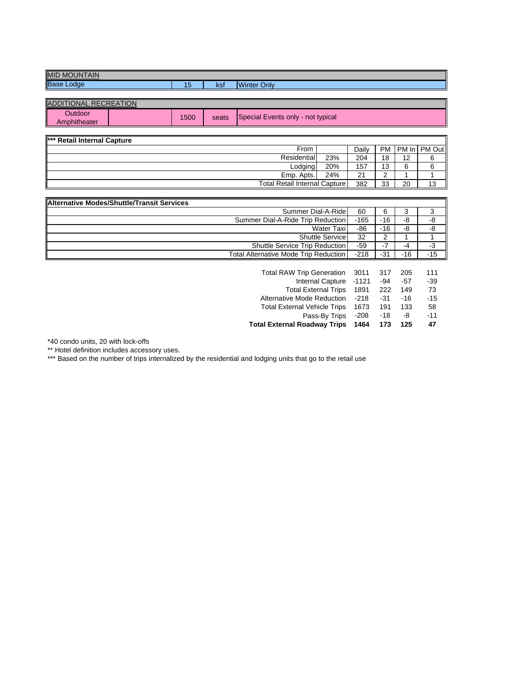| MID<br>Base<br><b>A 177 A 18 L</b><br>JUNTAIN<br>IVIO |            |                   |             |
|-------------------------------------------------------|------------|-------------------|-------------|
| _odge                                                 | . .<br>ں ו | مرا<br><b>NOI</b> | Only<br>mer |
|                                                       |            |                   |             |

| <b>IADDITIONAL RECREATION</b>  |      |       |                                   |
|--------------------------------|------|-------|-----------------------------------|
| <b>Outdoor</b><br>Amphitheater | 1500 | seats | Special Events only - not typical |

| *** Retail Internal Capture          |     |         |      |    |                     |
|--------------------------------------|-----|---------|------|----|---------------------|
| From                                 |     | Dailv   | PM I |    | <b>PM</b> In PM Out |
| Residential                          | 23% | 204     | 18   | 12 |                     |
| Lodging                              | 20% | 157     | 13   | 6  |                     |
| Emp. Apts.                           | 24% | ົາ<br>∠ |      |    |                     |
| <b>Total Retail Internal Capture</b> |     | 382     | 33   | 20 | 13                  |

| Alternative Modes/Shuttle/Transit Services   |        |       |     |       |
|----------------------------------------------|--------|-------|-----|-------|
| Summer Dial-A-Ride                           | 60     | 6     |     |       |
| Summer Dial-A-Ride Trip Reduction            | $-165$ | -16   | -8  | -8    |
| Water Taxi                                   | -86    | -16   | -8  | -8    |
| <b>Shuttle Service</b>                       | 32     |       |     |       |
| Shuttle Service Trip Reduction               | $-59$  |       | -4  | -3    |
| <b>Total Alternative Mode Trip Reduction</b> | $-218$ | $-31$ | -16 | $-15$ |

| Total RAW Trip Generation 3011      |        | 317   | 205   | 111   |
|-------------------------------------|--------|-------|-------|-------|
| Internal Capture                    | -1121  | $-94$ | -57   | $-39$ |
| <b>Total External Trips</b>         | 1891   | 222   | 149   | 73    |
| Alternative Mode Reduction          | $-218$ | $-31$ | $-16$ | $-15$ |
| <b>Total External Vehicle Trips</b> | 1673   | 191   | 133   | 58    |
| Pass-By Trips                       | $-208$ | $-18$ | -8    | $-11$ |
| <b>Total External Roadway Trips</b> | 1464   | 173   | 125   | 47    |

\*40 condo units, 20 with lock-offs

\*\* Hotel definition includes accessory uses.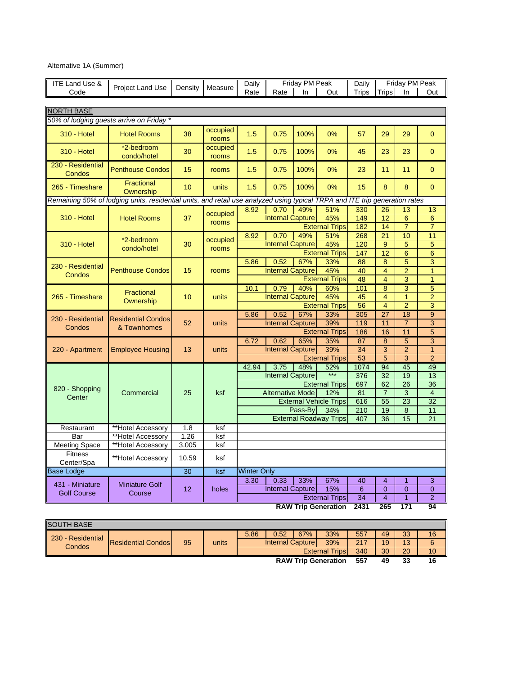| Alternative 1A (Summer) |  |  |
|-------------------------|--|--|
|-------------------------|--|--|

| <b>ITE Land Use &amp;</b>   |                                                                                                                             |         | Measure           | Daily              |                         | Friday PM Peak |                               | Daily |                 | Friday PM Peak  |                 |
|-----------------------------|-----------------------------------------------------------------------------------------------------------------------------|---------|-------------------|--------------------|-------------------------|----------------|-------------------------------|-------|-----------------|-----------------|-----------------|
| Code                        | <b>Project Land Use</b>                                                                                                     | Density |                   | Rate               | Rate                    | In             | Out                           | Trips | Trips           | In              | Out             |
|                             |                                                                                                                             |         |                   |                    |                         |                |                               |       |                 |                 |                 |
| <b>NORTH BASE</b>           |                                                                                                                             |         |                   |                    |                         |                |                               |       |                 |                 |                 |
|                             | 50% of lodging guests arrive on Friday *                                                                                    |         |                   |                    |                         |                |                               |       |                 |                 |                 |
| <b>310 - Hotel</b>          | <b>Hotel Rooms</b>                                                                                                          | 38      | occupied<br>rooms | 1.5                | 0.75                    | 100%           | 0%                            | 57    | 29              | 29              | $\overline{0}$  |
| <b>310 - Hotel</b>          | *2-bedroom<br>condo/hotel                                                                                                   | 30      | occupied<br>rooms | 1.5                | 0.75                    | 100%           | 0%                            | 45    | 23              | 23              | $\overline{0}$  |
| 230 - Residential<br>Condos | <b>Penthouse Condos</b>                                                                                                     | 15      | rooms             | 1.5                | 0.75                    | 100%           | 0%                            | 23    | 11              | 11              | $\overline{0}$  |
| 265 - Timeshare             | <b>Fractional</b><br>Ownership                                                                                              | 10      | units             | 1.5                | 0.75                    | 100%           | 0%                            | 15    | 8               | 8               | $\overline{0}$  |
|                             | Remaining 50% of lodging units, residential units, and retail use analyzed using typical TRPA and ITE trip generation rates |         |                   |                    |                         |                |                               |       |                 |                 |                 |
|                             |                                                                                                                             |         | occupied          | 8.92               | 0.70                    | 49%            | 51%                           | 330   | 26              | 13              | 13              |
| 310 - Hotel                 | <b>Hotel Rooms</b>                                                                                                          | 37      | rooms             |                    | <b>Internal Capture</b> |                | 45%                           | 149   | 12              | $6\phantom{1}6$ | 6               |
|                             |                                                                                                                             |         |                   |                    |                         |                | <b>External Trips</b>         | 182   | 14              | $\overline{7}$  | $\overline{7}$  |
|                             | *2-bedroom                                                                                                                  |         | occupied          | 8.92               | 0.70                    | 49%            | 51%                           | 268   | 21              | 10              | 11              |
| 310 - Hotel                 | condo/hotel                                                                                                                 | 30      | rooms             |                    | <b>Internal Capture</b> |                | 45%                           | 120   | 9               | 5               | 5               |
|                             |                                                                                                                             |         |                   |                    |                         |                | <b>External Trips</b>         | 147   | 12              | $6\phantom{1}6$ | 6               |
| 230 - Residential           |                                                                                                                             |         |                   | 5.86               | 0.52                    | 67%            | 33%                           | 88    | 8               | $\overline{5}$  | $\overline{3}$  |
| Condos                      | <b>Penthouse Condos</b>                                                                                                     | 15      | rooms             |                    | <b>Internal Capture</b> |                | 45%                           | 40    | $\overline{4}$  | $\overline{2}$  | $\mathbf{1}$    |
|                             |                                                                                                                             |         |                   |                    |                         |                | <b>External Trips</b>         | 48    | $\overline{4}$  | 3               | $\overline{1}$  |
|                             | Fractional                                                                                                                  |         |                   | 10.1               | 0.79                    | 40%            | 60%                           | 101   | 8               | 3               | 5               |
| 265 - Timeshare             |                                                                                                                             | 10      | units             |                    | <b>Internal Capture</b> |                | 45%                           | 45    | 4               | $\mathbf{1}$    | $\overline{2}$  |
|                             | Ownership                                                                                                                   |         |                   |                    |                         |                | <b>External Trips</b>         | 56    | 4               | $\overline{2}$  | 3               |
|                             |                                                                                                                             |         |                   | 5.86               | 0.52                    | 67%            | 33%                           | 305   | $\overline{27}$ | 18              | $\overline{9}$  |
| 230 - Residential           | <b>Residential Condos</b>                                                                                                   | 52      | units             |                    | <b>Internal Capture</b> |                | 39%                           | 119   | 11              | $\overline{7}$  | 3               |
| Condos                      | & Townhomes                                                                                                                 |         |                   |                    |                         |                | <b>External Trips</b>         | 186   | 16              | 11              | 5               |
|                             |                                                                                                                             |         |                   | 6.72               | 0.62                    | 65%            | 35%                           | 87    | 8               | 5               | 3               |
| 220 - Apartment             | <b>Employee Housing</b>                                                                                                     | 13      | units             |                    | <b>Internal Capture</b> |                | 39%                           | 34    | 3               | $\overline{2}$  | $\mathbf{1}$    |
|                             |                                                                                                                             |         |                   |                    |                         |                | <b>External Trips</b>         | 53    | 5               | 3               | $\overline{2}$  |
|                             |                                                                                                                             |         |                   | 42.94              | 3.75                    | 48%            | 52%                           | 1074  | 94              | 45              | 49              |
|                             |                                                                                                                             |         |                   |                    | <b>Internal Capture</b> |                | $***$                         | 376   | 32              | 19              | 13              |
|                             |                                                                                                                             |         |                   |                    |                         |                | <b>External Trips</b>         | 697   | 62              | 26              | 36              |
| 820 - Shopping              | Commercial                                                                                                                  | 25      | ksf               |                    | <b>Alternative Mode</b> |                | 12%                           | 81    | $\overline{7}$  | 3               | $\overline{4}$  |
| Center                      |                                                                                                                             |         |                   |                    |                         |                | <b>External Vehicle Trips</b> | 616   | 55              | 23              | 32              |
|                             |                                                                                                                             |         |                   |                    |                         | Pass-By        | 34%                           | 210   | 19              | 8               | 11              |
|                             |                                                                                                                             |         |                   |                    |                         |                | <b>External Roadway Trips</b> | 407   | 36              | 15              | $\overline{21}$ |
| Restaurant                  | **Hotel Accessory                                                                                                           | 1.8     | ksf               |                    |                         |                |                               |       |                 |                 |                 |
| Bar                         | **Hotel Accessory                                                                                                           | 1.26    | ksf               |                    |                         |                |                               |       |                 |                 |                 |
| <b>Meeting Space</b>        | **Hotel Accessory                                                                                                           | 3.005   | ksf               |                    |                         |                |                               |       |                 |                 |                 |
| <b>Fitness</b>              |                                                                                                                             |         |                   |                    |                         |                |                               |       |                 |                 |                 |
| Center/Spa                  | **Hotel Accessory                                                                                                           | 10.59   | ksf               |                    |                         |                |                               |       |                 |                 |                 |
| Base Lodge                  |                                                                                                                             | 30      | ksf               | <b>Winter Only</b> |                         |                |                               |       |                 |                 |                 |
|                             |                                                                                                                             |         |                   | 3.30               | 0.33                    | 33%            | 67%                           | 40    | 4               | 1               | 3               |
| 431 - Miniature             | <b>Miniature Golf</b>                                                                                                       | 12      | holes             |                    | <b>Internal Capture</b> |                | 15%                           | 6     | $\mathbf{0}$    | $\mathbf{0}$    | $\mathbf{0}$    |
| <b>Golf Course</b>          | Course                                                                                                                      |         |                   |                    |                         |                | <b>External Trips</b>         | 34    | $\overline{4}$  | $\mathbf{1}$    | $\overline{2}$  |
|                             |                                                                                                                             |         |                   |                    |                         |                | <b>RAW Trip Generation</b>    | 2431  | 265             | 171             | 94              |

| <b>SOUTH BASE</b> |                           |    |       |      |                          |     |                            |     |    |    |    |
|-------------------|---------------------------|----|-------|------|--------------------------|-----|----------------------------|-----|----|----|----|
| 230 - Residential |                           |    |       | 5.86 | 0.52                     | 67% | 33%                        | 557 | 49 | 33 | 16 |
| Condos            | <b>Residential Condos</b> | 95 | units |      | <b>Internal Capturel</b> |     | 39%                        | 217 | 19 | 13 |    |
|                   |                           |    |       |      |                          |     | <b>External Trips</b>      | 340 | 30 | 20 | 10 |
|                   |                           |    |       |      |                          |     | <b>RAW Trip Generation</b> | 557 | 49 | 33 | 16 |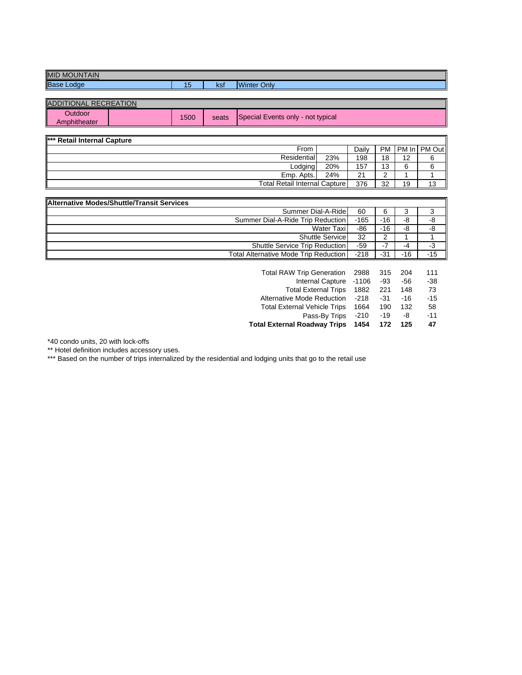| <b>Base</b><br>مرا<br>Only<br>. .<br>1010101<br>mer<br>יכת<br>∪י |  |
|------------------------------------------------------------------|--|

| <b>ADDITIONAL RECREATION</b>   |      |       |                                   |
|--------------------------------|------|-------|-----------------------------------|
| <b>Dutdoor</b><br>Amphitheater | 1500 | seats | Special Events only - not typical |

| *** Retail Internal Capture |                                      |            |    |    |                     |  |
|-----------------------------|--------------------------------------|------------|----|----|---------------------|--|
| From                        |                                      | Dailv      |    |    | PM   PM In   PM Out |  |
| Residential                 | 23%                                  | 198        | 18 | 12 |                     |  |
|                             | Lodging<br>20%                       |            |    |    |                     |  |
| Emp. Apts.                  | 24%                                  | $^{\circ}$ |    |    |                     |  |
|                             | <b>Total Retail Internal Capture</b> |            |    |    |                     |  |

| <b>Alternative Modes/Shuttle/Transit Services</b> |        |       |       |       |
|---------------------------------------------------|--------|-------|-------|-------|
| Summer Dial-A-Ride                                | 60     | 6     |       |       |
| Summer Dial-A-Ride Trip Reduction                 | $-165$ | -16   | -8    | -8    |
| Water Taxi                                        | -86    | -16   | -8    | -8    |
| Shuttle Service                                   | 32     |       |       |       |
| Shuttle Service Trip Reduction                    | $-59$  |       | -4    |       |
| <b>Total Alternative Mode Trip Reduction</b>      | $-218$ | $-31$ | $-16$ | $-15$ |

| Total RAW Trip Generation 2988      |        | 315   | 204 | 111   |
|-------------------------------------|--------|-------|-----|-------|
| Internal Capture -1106              |        | -93   | -56 | $-38$ |
| Total External Trips 1882           |        | 221   | 148 | 73    |
| Alternative Mode Reduction -218     |        | $-31$ | -16 | $-15$ |
| <b>Total External Vehicle Trips</b> | 1664   | 190   | 132 | 58    |
| Pass-By Trips                       | $-210$ | $-19$ | -8  | $-11$ |
| <b>Total External Roadway Trips</b> | 1454   | 172   | 125 | 47    |

\*40 condo units, 20 with lock-offs

\*\* Hotel definition includes accessory uses.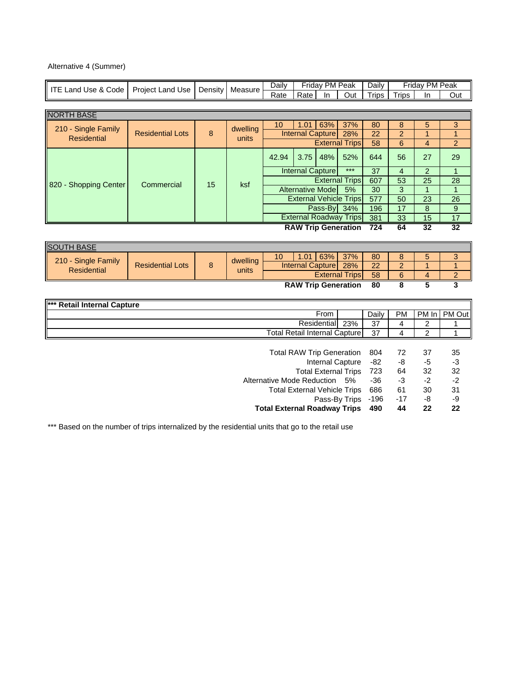| Alternative 4 (Summer) |  |
|------------------------|--|
|------------------------|--|

| <b>ITE Land Use &amp; Code</b> | Project Land Use        |    | Daily<br>Friday PM Peak<br>Daily<br><b>Density</b><br>Measure |                                      |                                  | Friday PM Peak |                               |                          |                 |                 |                 |
|--------------------------------|-------------------------|----|---------------------------------------------------------------|--------------------------------------|----------------------------------|----------------|-------------------------------|--------------------------|-----------------|-----------------|-----------------|
|                                |                         |    |                                                               | Rate                                 | Rate                             | In.            | Out                           | <b>Trips</b>             | <b>Trips</b>    | In.             | Out             |
|                                |                         |    |                                                               |                                      |                                  |                |                               |                          |                 |                 |                 |
| <b>NORTH BASE</b>              |                         |    |                                                               |                                      |                                  |                |                               |                          |                 |                 |                 |
| 210 - Single Family            |                         |    | dwelling<br>8<br>units                                        |                                      | 1.01                             | 63%            | 37%                           | 80                       | 8               | 5               | 3               |
| <b>Residential</b>             | <b>Residential Lots</b> |    |                                                               |                                      | <b>Internal Capture</b>          |                | 28%                           | 22                       | $\overline{a}$  | $\mathbf{1}$    | 1               |
|                                |                         |    |                                                               |                                      |                                  |                | <b>External Trips</b>         | 58                       | 6               | 4               | $\overline{a}$  |
|                                |                         |    |                                                               | 42.94                                | 3.75                             | 48%            | 52%                           | 644                      | 56              | 27              | 29              |
|                                |                         |    |                                                               |                                      | <b>Internal Capture</b>          |                | $***$                         | $\overline{37}$          | $\overline{4}$  | $\overline{2}$  | $\mathbf{1}$    |
| 820 - Shopping Center          | Commercial              | 15 | ksf                                                           |                                      |                                  |                | <b>External Trips</b>         | 607                      | $\overline{53}$ | $\overline{25}$ | $\overline{28}$ |
|                                |                         |    |                                                               |                                      | <b>Alternative Mode</b>          |                | 5%                            | 30                       | 3               | $\overline{1}$  | $\mathbf{1}$    |
|                                |                         |    |                                                               |                                      | <b>External Vehicle Trips</b>    |                |                               | $\overline{577}$         | $\overline{50}$ | $\overline{23}$ | 26              |
|                                |                         |    |                                                               |                                      |                                  | Pass-By 34%    |                               | 196                      | 17              | 8               | $\mathsf g$     |
|                                |                         |    |                                                               |                                      |                                  |                | <b>External Roadway Trips</b> | 381                      | 33              | 15              | 17              |
|                                |                         |    |                                                               |                                      | <b>RAW Trip Generation</b>       |                |                               | 724                      | 64              | 32              | 32              |
|                                |                         |    |                                                               |                                      |                                  |                |                               |                          |                 |                 |                 |
| <b>SOUTH BASE</b>              |                         |    |                                                               |                                      |                                  |                |                               |                          |                 |                 |                 |
| 210 - Single Family            |                         |    | dwelling                                                      | 10                                   | 1.01                             | 63%            | 37%                           | 80                       | 8               | 5               | $\overline{3}$  |
| <b>Residential</b>             | <b>Residential Lots</b> | 8  | units                                                         |                                      | <b>Internal Capture</b>          |                | 28%                           | $\overline{22}$          | $\overline{2}$  | $\mathbf{1}$    | $\mathbf{1}$    |
|                                |                         |    |                                                               |                                      |                                  |                | <b>External Trips</b>         | 58                       | 6               | $\overline{4}$  | 2               |
|                                |                         |    |                                                               |                                      | <b>RAW Trip Generation</b>       |                |                               | 80                       | 8               | 5               | 3               |
|                                |                         |    |                                                               |                                      |                                  |                |                               |                          |                 |                 |                 |
| *** Retail Internal Capture    |                         |    |                                                               |                                      |                                  | From           |                               |                          |                 | PM In           |                 |
|                                |                         |    |                                                               |                                      |                                  | Residential    | 23%                           | Daily<br>$\overline{37}$ | PM<br>4         | $\overline{2}$  | PM Out          |
|                                |                         |    |                                                               | <b>Total Retail Internal Capture</b> |                                  |                |                               | 37                       | 4               | $\overline{c}$  | 1               |
|                                |                         |    |                                                               |                                      |                                  |                |                               |                          |                 |                 |                 |
|                                |                         |    |                                                               |                                      | <b>Total RAW Trip Generation</b> |                |                               | 804                      | 72              | 37              | 35              |
|                                |                         |    |                                                               |                                      |                                  |                | <b>Internal Capture</b>       | $-82$                    | -8              | -5              | $-3$            |
|                                |                         |    |                                                               |                                      |                                  |                | <b>Total External Trips</b>   | 723                      | 64              | 32              | 32              |
|                                |                         |    |                                                               | Alternative Mode Reduction           |                                  |                | 5%                            | $-36$                    | $-3$            | $-2$            | $-2$            |
|                                |                         |    |                                                               | <b>Total External Vehicle Trips</b>  |                                  |                |                               | 686                      | 61              | 30              | 31              |
|                                |                         |    |                                                               |                                      |                                  |                | Pass-By Trips                 | $-196$                   | $-17$           | -8              | -9              |
|                                |                         |    |                                                               | <b>Total External Roadway Trips</b>  |                                  |                |                               | 490                      | 44              | 22              | 22              |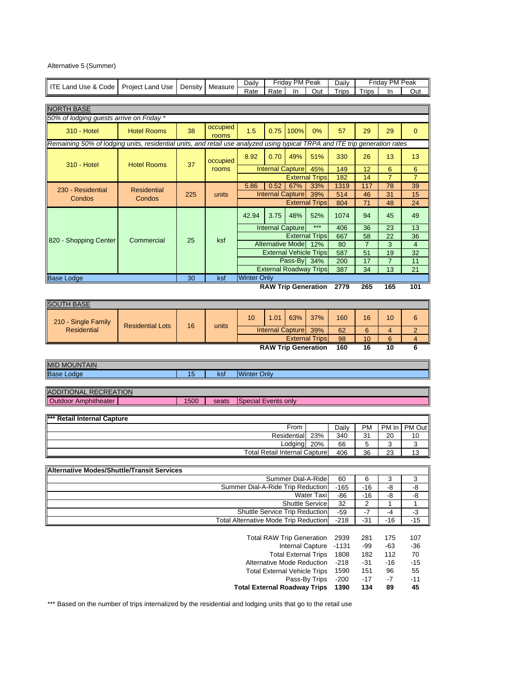Alternative 5 (Summer)

|                                                                                                                             |                         |         |             | Daily                                        |                                      | <b>Friday PM Peak</b> |                                                                  | Daily          |                      | Friday PM Peak |                       |
|-----------------------------------------------------------------------------------------------------------------------------|-------------------------|---------|-------------|----------------------------------------------|--------------------------------------|-----------------------|------------------------------------------------------------------|----------------|----------------------|----------------|-----------------------|
| <b>ITE Land Use &amp; Code</b>                                                                                              | <b>Project Land Use</b> | Density | Measure     | Rate                                         | Rate                                 | In.                   | Out                                                              | <b>Trips</b>   | Trips                | In             | Out                   |
|                                                                                                                             |                         |         |             |                                              |                                      |                       |                                                                  |                |                      |                |                       |
| <b>NORTH BASE</b>                                                                                                           |                         |         |             |                                              |                                      |                       |                                                                  |                |                      |                |                       |
| 50% of lodging guests arrive on Friday *                                                                                    |                         |         |             |                                              |                                      |                       |                                                                  |                |                      |                |                       |
|                                                                                                                             |                         |         | occupied    |                                              |                                      |                       | 0%                                                               |                |                      |                |                       |
| 310 - Hotel                                                                                                                 | <b>Hotel Rooms</b>      | 38      | rooms       | 1.5                                          | 0.75                                 | 100%                  |                                                                  | 57             | 29                   | 29             | $\mathbf{0}$          |
| Remaining 50% of lodging units, residential units, and retail use analyzed using typical TRPA and ITE trip generation rates |                         |         |             |                                              |                                      |                       |                                                                  |                |                      |                |                       |
|                                                                                                                             |                         |         |             | 8.92                                         | 0.70                                 | 49%                   | 51%                                                              | 330            | 26                   | 13             | 13                    |
| 310 - Hotel                                                                                                                 | <b>Hotel Rooms</b>      | 37      | occupied    |                                              |                                      |                       |                                                                  |                |                      |                |                       |
|                                                                                                                             |                         |         | rooms       |                                              | <b>Internal Capture</b>              |                       | 45%                                                              | 149            | 12                   | 6              | 6                     |
|                                                                                                                             |                         |         |             |                                              |                                      |                       | <b>External Trips</b>                                            | 182            | 14                   | $\overline{7}$ | $\overline{7}$        |
| 230 - Residential                                                                                                           | <b>Residential</b>      |         |             | 5.86                                         | 0.52                                 | 67%                   | 33%                                                              | 1319           | 117                  | 78             | 39                    |
| Condos                                                                                                                      | Condos                  | 225     | units       |                                              | <b>Internal Capture</b>              |                       | 39%                                                              | 514            | 46                   | 31             | 15                    |
|                                                                                                                             |                         |         |             |                                              |                                      |                       | <b>External Trips</b>                                            | 804            | 71                   | 48             | 24                    |
|                                                                                                                             |                         |         |             | 42.94                                        | 3.75                                 | 48%                   | 52%                                                              | 1074           | 94                   | 45             | 49                    |
|                                                                                                                             |                         |         |             |                                              |                                      |                       | $***$                                                            |                |                      |                |                       |
|                                                                                                                             |                         |         |             |                                              | <b>Internal Capture</b>              |                       |                                                                  | 406            | 36                   | 23             | 13                    |
| 820 - Shopping Center                                                                                                       | Commercial              | 25      | ksf         |                                              | <b>Alternative Mode</b>              |                       | <b>External Trips</b><br>12%                                     | 667<br>80      | 58<br>$\overline{7}$ | 22<br>3        | 36<br>$\overline{4}$  |
|                                                                                                                             |                         |         |             |                                              | <b>External Vehicle Trips</b>        |                       |                                                                  | 587            | 51                   | 19             | 32                    |
|                                                                                                                             |                         |         |             |                                              |                                      | Pass-By               | 34%                                                              | 200            | 17                   | $\overline{7}$ | 11                    |
|                                                                                                                             |                         |         |             |                                              |                                      |                       | <b>External Roadway Trips</b>                                    | 387            | 34                   | 13             | 21                    |
| <b>Base Lodge</b>                                                                                                           |                         | 30      | ksf         | <b>Winter Only</b>                           |                                      |                       |                                                                  |                |                      |                |                       |
|                                                                                                                             |                         |         |             |                                              |                                      |                       | <b>RAW Trip Generation</b>                                       | 2779           | 265                  | 165            | 101                   |
|                                                                                                                             |                         |         |             |                                              |                                      |                       |                                                                  |                |                      |                |                       |
| <b>SOUTH BASE</b>                                                                                                           |                         |         |             |                                              |                                      |                       |                                                                  |                |                      |                |                       |
|                                                                                                                             |                         |         |             |                                              |                                      |                       |                                                                  |                |                      |                |                       |
| 210 - Single Family                                                                                                         |                         |         |             | 10                                           | 1.01                                 | 63%                   | 37%                                                              | 160            | 16                   | 10             | 6                     |
|                                                                                                                             |                         |         | 16<br>units |                                              |                                      |                       |                                                                  |                |                      |                |                       |
| <b>Residential</b>                                                                                                          | <b>Residential Lots</b> |         |             |                                              |                                      |                       |                                                                  |                |                      |                |                       |
|                                                                                                                             |                         |         |             |                                              | <b>Internal Capture</b>              |                       | 39%                                                              | 62             | 6                    | 4              | $\overline{c}$        |
|                                                                                                                             |                         |         |             |                                              |                                      |                       | <b>External Trips</b><br><b>RAW Trip Generation</b>              | 98<br>160      | 10<br>16             | 6<br>10        | 4<br>6                |
|                                                                                                                             |                         |         |             |                                              |                                      |                       |                                                                  |                |                      |                |                       |
| <b>MID MOUNTAIN</b>                                                                                                         |                         |         |             |                                              |                                      |                       |                                                                  |                |                      |                |                       |
| <b>Base Lodge</b>                                                                                                           |                         | 15      | ksf         | <b>Winter Only</b>                           |                                      |                       |                                                                  |                |                      |                |                       |
|                                                                                                                             |                         |         |             |                                              |                                      |                       |                                                                  |                |                      |                |                       |
| <b>ADDITIONAL RECREATION</b>                                                                                                |                         |         |             |                                              |                                      |                       |                                                                  |                |                      |                |                       |
| <b>Outdoor Amphitheater</b>                                                                                                 |                         | 1500    | seats       | <b>Special Events only</b>                   |                                      |                       |                                                                  |                |                      |                |                       |
|                                                                                                                             |                         |         |             |                                              |                                      |                       |                                                                  |                |                      |                |                       |
| <b>Retail Internal Capture</b>                                                                                              |                         |         |             |                                              |                                      |                       |                                                                  |                |                      |                |                       |
|                                                                                                                             |                         |         |             |                                              |                                      | From                  |                                                                  | Daily          | <b>PM</b>            | PM In          |                       |
|                                                                                                                             |                         |         |             |                                              |                                      | Residential           | 23%                                                              | 340            | 31                   | 20             | 10                    |
|                                                                                                                             |                         |         |             |                                              |                                      | Lodging               | 20%                                                              | 66             | 5                    | 3              | 3                     |
|                                                                                                                             |                         |         |             |                                              | <b>Total Retail Internal Capture</b> |                       |                                                                  | 406            | 36                   | 23             | 13                    |
|                                                                                                                             |                         |         |             |                                              |                                      |                       |                                                                  |                |                      |                |                       |
| <b>Alternative Modes/Shuttle/Transit Services</b>                                                                           |                         |         |             |                                              |                                      |                       |                                                                  |                |                      |                |                       |
|                                                                                                                             |                         |         |             |                                              |                                      |                       | Summer Dial-A-Ride                                               | 60             | 6                    | 3              | 3                     |
|                                                                                                                             |                         |         |             | Summer Dial-A-Ride Trip Reduction            |                                      |                       |                                                                  | $-165$         | $-16$                | -8             | -8                    |
|                                                                                                                             |                         |         |             |                                              |                                      |                       | Water Taxi                                                       | $-86$          | $-16$                | $-8$           | -8                    |
|                                                                                                                             |                         |         |             |                                              |                                      |                       | <b>Shuttle Service</b>                                           | 32             | 2                    | 1              | 1                     |
|                                                                                                                             |                         |         |             | Shuttle Service Trip Reduction               |                                      |                       |                                                                  | -59            | -7                   | $-4$           | $-3$                  |
|                                                                                                                             |                         |         |             | <b>Total Alternative Mode Trip Reduction</b> |                                      |                       |                                                                  | $-218$         | $-31$                | $-16$          | $-15$                 |
|                                                                                                                             |                         |         |             |                                              |                                      |                       |                                                                  |                |                      |                |                       |
|                                                                                                                             |                         |         |             |                                              | <b>Total RAW Trip Generation</b>     |                       |                                                                  | 2939           | 281                  | 175            | 107                   |
|                                                                                                                             |                         |         |             |                                              |                                      |                       | <b>Internal Capture</b>                                          | $-1131$        | $-99$                | $-63$          | -36                   |
|                                                                                                                             |                         |         |             |                                              |                                      |                       | <b>Total External Trips</b><br><b>Alternative Mode Reduction</b> | 1808<br>$-218$ | 182<br>$-31$         | 112<br>$-16$   | PM Out<br>70<br>$-15$ |

Total External Vehicle Trips 1590 151 96 55 Pass-By Trips -200 -17 -7 -11

**Total External Roadway Trips 1390 134 89 45**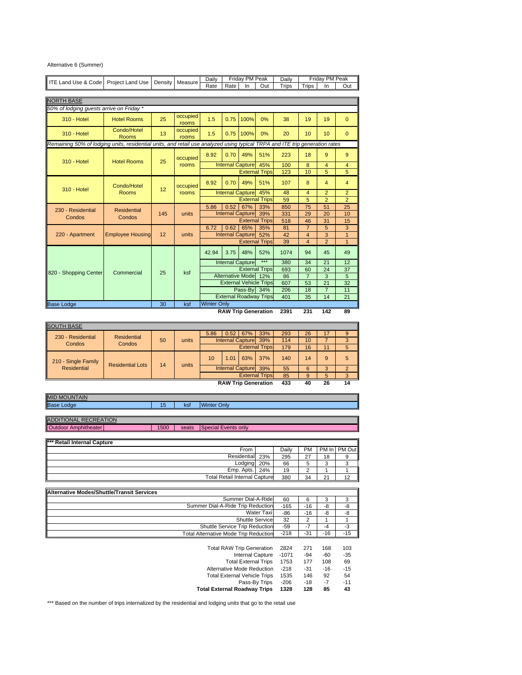| Alternative 6 (Summer) |  |
|------------------------|--|
|------------------------|--|

| ITE Land Use & Code                                                                                                         | Project Land Use            | Density | Measure           | Daily                                           |                         | Friday PM Peak |                       | Daily          |                         | Friday PM Peak |                |
|-----------------------------------------------------------------------------------------------------------------------------|-----------------------------|---------|-------------------|-------------------------------------------------|-------------------------|----------------|-----------------------|----------------|-------------------------|----------------|----------------|
|                                                                                                                             |                             |         |                   | Rate                                            | Rate                    | In             | Out                   | Trips          | Trips                   | In             | Out            |
|                                                                                                                             |                             |         |                   |                                                 |                         |                |                       |                |                         |                |                |
| <b>NORTH BASE</b>                                                                                                           |                             |         |                   |                                                 |                         |                |                       |                |                         |                |                |
| 50% of lodging guests arrive on Friday *                                                                                    |                             |         |                   |                                                 |                         |                |                       |                |                         |                |                |
| 310 - Hotel                                                                                                                 | <b>Hotel Rooms</b>          | 25      | occupied<br>rooms | 1.5                                             | 0.75                    | 100%           | 0%                    | 38             | 19                      | 19             | $\mathbf{0}$   |
| 310 - Hotel                                                                                                                 | Condo/Hotel<br><b>Rooms</b> | 13      | occupied<br>rooms | 1.5                                             | 0.75                    | 100%           | 0%                    | 20             | 10                      | 10             | $\Omega$       |
| Remaining 50% of lodging units, residential units, and retail use analyzed using typical TRPA and ITE trip generation rates |                             |         |                   |                                                 |                         |                |                       |                |                         |                |                |
| 310 - Hotel                                                                                                                 | <b>Hotel Rooms</b>          | 25      | occupied          | 8.92                                            | 0.70                    | 49%            | 51%                   | 223            | 18                      | 9              | 9              |
|                                                                                                                             |                             |         | rooms             |                                                 | <b>Internal Capture</b> |                | 45%                   | 100            | 8                       | $\overline{4}$ | $\overline{4}$ |
|                                                                                                                             |                             |         |                   |                                                 |                         |                | <b>External Trips</b> | 123            | 10                      | 5              | 5              |
| 310 - Hotel                                                                                                                 | Condo/Hotel                 | 12      | occupied          | 8.92                                            | 0.70                    | 49%            | 51%                   | 107            | 8                       | 4              | $\overline{4}$ |
|                                                                                                                             | <b>Rooms</b>                |         | rooms             |                                                 | <b>Internal Capture</b> |                | 45%                   | 48             | 4                       | $\overline{2}$ | $\overline{2}$ |
|                                                                                                                             |                             |         |                   |                                                 |                         |                | <b>External Trips</b> | 59             | 5                       | $\overline{2}$ | $\overline{2}$ |
| 230 - Residential                                                                                                           | <b>Residential</b>          |         |                   | 5.86                                            | 0.52                    | 67%            | 33%                   | 850            | 75                      | 51             | 25             |
| Condos                                                                                                                      | Condos                      | 145     | units             |                                                 | <b>Internal Capture</b> |                | 39%                   | 331            | 29                      | 20             | 10             |
|                                                                                                                             |                             |         |                   |                                                 |                         |                | <b>External Trips</b> | 518            | 46                      | 31             | 15             |
|                                                                                                                             |                             |         |                   | 6.72                                            | 0.62                    | 65%            | 35%                   | 81             | $\overline{7}$          | 5              | 3              |
| 220 - Apartment                                                                                                             | <b>Employee Housing</b>     | 12      | units             |                                                 | <b>Internal Capture</b> |                | 52%                   | 42             | $\overline{\mathbf{4}}$ | 3              | $\overline{1}$ |
|                                                                                                                             |                             |         |                   |                                                 |                         |                | <b>External Trips</b> | 39             | $\overline{4}$          | $\overline{2}$ | $\mathbf{1}$   |
|                                                                                                                             |                             |         |                   | 42.94                                           | 3.75                    | 48%            | 52%                   | 1074           | 94                      | 45             | 49             |
|                                                                                                                             |                             |         |                   |                                                 | <b>Internal Capture</b> |                | $***$                 | 380            | 34                      | 21             | 12             |
| 820 - Shopping Center                                                                                                       | Commercial                  | 25      | ksf               |                                                 |                         |                | <b>External Trips</b> | 693            | 60                      | 24             | 37             |
|                                                                                                                             |                             |         |                   | <b>Alternative Mode</b><br>12%                  |                         |                | 86                    | $\overline{7}$ | 3                       | 5              |                |
|                                                                                                                             |                             |         |                   | <b>External Vehicle Trips</b>                   |                         |                | 607                   | 53             | 21                      | 32             |                |
|                                                                                                                             |                             |         |                   | Pass-By<br>34%<br><b>External Roadway Trips</b> |                         |                | 206                   | 18             | $\overline{7}$          | 11             |                |
|                                                                                                                             |                             |         |                   |                                                 |                         |                |                       | 401            | 35                      | 14             | 21             |
| <b>Base Lodge</b>                                                                                                           |                             | 30      | ksf               | <b>Winter Only</b>                              |                         |                |                       |                |                         |                |                |
| 2391<br>231<br>142<br><b>RAW Trip Generation</b><br>89                                                                      |                             |         |                   |                                                 |                         |                |                       |                |                         |                |                |

| <b>SOUTH BASE</b>                              |        |             |                       |                      |     |                         |                            |     |              |    |    |
|------------------------------------------------|--------|-------------|-----------------------|----------------------|-----|-------------------------|----------------------------|-----|--------------|----|----|
| 230 - Residential<br><b>Residential</b>        |        |             | 5.86                  | 0.52                 | 67% | 33%                     | 293                        | 26  | 17           | 9  |    |
| Condos                                         | Condos | 50<br>units |                       |                      |     | <b>Internal Capture</b> | 39%                        | 114 | 10           |    |    |
|                                                |        |             |                       |                      |     |                         | <b>External Trips</b>      | 179 | 16           |    | 5  |
| 210 - Single Family<br><b>Residential Lots</b> | 14     | units       | 10                    | 1.01                 | 63% | 37%                     | 140                        | 14  | 9            | 5  |    |
| Residential                                    |        |             |                       | Internal Capture 39% |     |                         | 55                         | 6   |              | C  |    |
|                                                |        |             | <b>External Trips</b> |                      |     | 85                      | 9                          | 5   | $\mathbf{z}$ |    |    |
|                                                |        |             |                       |                      |     |                         | <b>RAW Trip Generation</b> | 433 | 40           | 26 | 14 |

| <b>MID MOUNTAIN</b>          |      |       |                     |  |  |  |  |  |  |  |
|------------------------------|------|-------|---------------------|--|--|--|--|--|--|--|
| <b>Base Lodge</b>            | 15   | kst   | <b>Winter Only</b>  |  |  |  |  |  |  |  |
|                              |      |       |                     |  |  |  |  |  |  |  |
| <b>ADDITIONAL RECREATION</b> |      |       |                     |  |  |  |  |  |  |  |
| Outdoor Amphitheater         | 1500 | seats | Special Events only |  |  |  |  |  |  |  |

| *** Retail Internal Capture          |     |       |    |    |              |
|--------------------------------------|-----|-------|----|----|--------------|
| From                                 |     | Dailv | PM |    | PM In PM Out |
| Residential 23%                      |     | 295   | 27 | 18 |              |
| Lodging                              | 20% | 66    |    |    |              |
| Emp. Apts.                           | 24% | 19    |    |    |              |
| <b>Total Retail Internal Capture</b> |     | 380   | 34 | 21 |              |

| Alternative Modes/Shuttle/Transit Services   |        |       |       |       |
|----------------------------------------------|--------|-------|-------|-------|
| Summer Dial-A-Ride                           | 60     |       |       |       |
| Summer Dial-A-Ride Trip Reduction            | $-165$ | -16   | -8    | -8    |
| Water Taxi                                   | -86    | -16   | -8    |       |
| Shuttle Service                              | 32     |       |       |       |
| Shuttle Service Trip Reduction               | $-59$  |       | -4    | -3    |
| <b>Total Alternative Mode Trip Reduction</b> | $-218$ | $-31$ | $-16$ | $-15$ |

| <b>Total RAW Trip Generation</b>    | 2824    | 271   | 168   | 103   |
|-------------------------------------|---------|-------|-------|-------|
| <b>Internal Capture</b>             | $-1071$ | -94   | -60   | -35   |
| <b>Total External Trips</b>         | 1753    | 177   | 108   | 69    |
| Alternative Mode Reduction          | $-218$  | $-31$ | $-16$ | $-15$ |
| <b>Total External Vehicle Trips</b> | 1535    | 146   | 92    | 54    |
| Pass-By Trips                       | $-206$  | $-18$ | $-7$  | $-11$ |
| <b>Total External Roadway Trips</b> | 1328    | 128   | 85    | 43    |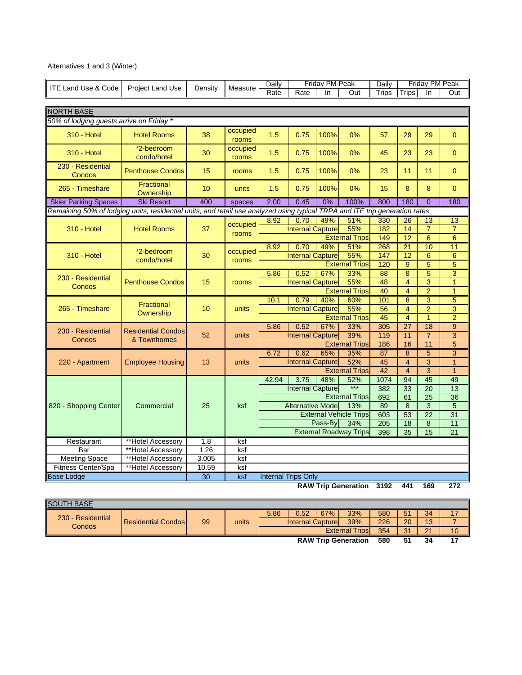# Alternatives 1 and 3 (Winter)

|                                                                                                                             |                                |         |                   | <b>Daily</b> |                                                         | Friday PM Peak |                               | Daily      |                         | Friday PM Peak       |                                  |
|-----------------------------------------------------------------------------------------------------------------------------|--------------------------------|---------|-------------------|--------------|---------------------------------------------------------|----------------|-------------------------------|------------|-------------------------|----------------------|----------------------------------|
| <b>ITE Land Use &amp; Code</b>                                                                                              | <b>Project Land Use</b>        | Density | Measure           | Rate         | Rate                                                    | In             | Out                           | Trips      | <b>Trips</b>            | In                   | Out                              |
|                                                                                                                             |                                |         |                   |              |                                                         |                |                               |            |                         |                      |                                  |
| <b>NORTH BASE</b>                                                                                                           |                                |         |                   |              |                                                         |                |                               |            |                         |                      |                                  |
| 50% of lodging guests arrive on Friday *                                                                                    |                                |         |                   |              |                                                         |                |                               |            |                         |                      |                                  |
| <b>310 - Hotel</b>                                                                                                          | <b>Hotel Rooms</b>             | 38      | occupied<br>rooms | 1.5          | 0.75                                                    | 100%           | 0%                            | 57         | 29                      | 29                   | $\mathbf{0}$                     |
| 310 - Hotel                                                                                                                 | *2-bedroom<br>condo/hotel      | 30      | occupied<br>rooms | 1.5          | 0.75                                                    | 100%           | 0%                            | 45         | 23                      | 23                   | $\mathbf{0}$                     |
| 230 - Residential<br>Condos                                                                                                 | <b>Penthouse Condos</b>        | 15      | rooms             | 1.5          | 0.75                                                    | 100%           | 0%                            | 23         | 11                      | 11                   | $\mathbf{0}$                     |
| 265 - Timeshare                                                                                                             | <b>Fractional</b><br>Ownership | 10      | units             | 1.5          | 0.75                                                    | 100%           | 0%                            | 15         | 8                       | 8                    | $\mathbf{0}$                     |
| <b>Skier Parking Spaces</b>                                                                                                 | <b>Ski Resort</b>              | 400     | spaces            | 2.00         | 0.45                                                    | 0%             | 100%                          | 800        | 180                     | $\Omega$             | 180                              |
| Remaining 50% of lodging units, residential units, and retail use analyzed using typical TRPA and ITE trip generation rates |                                |         |                   |              |                                                         |                |                               |            |                         |                      |                                  |
|                                                                                                                             |                                |         | occupied          | 8.92         | 0.70                                                    | 49%            | 51%                           | 330        | $\overline{26}$         | 13                   | 13                               |
| <b>310 - Hotel</b>                                                                                                          | <b>Hotel Rooms</b>             | 37      | rooms             |              | <b>Internal Capture</b>                                 |                | 55%                           | 182        | $\overline{14}$         | $\overline{7}$       | $\overline{7}$                   |
|                                                                                                                             |                                |         |                   |              |                                                         |                | <b>External Trips</b>         | 149        | $\overline{12}$         | 6                    | 6                                |
|                                                                                                                             | *2-bedroom                     |         | occupied          | 8.92         | 0.70                                                    | 49%            | 51%                           | 268        | $\overline{21}$         | 10                   | 11                               |
| <b>310 - Hotel</b>                                                                                                          | condo/hotel                    | 30      | rooms             |              | <b>Internal Capture</b>                                 |                | 55%                           | 147        | 12                      | $6\phantom{1}6$      | 6                                |
|                                                                                                                             |                                |         |                   |              |                                                         |                | <b>External Trips</b>         | 120        | 9                       | 5                    | $\overline{5}$                   |
| 230 - Residential<br>Condos                                                                                                 |                                |         |                   | 5.86         | 0.52                                                    | 67%            | 33%                           | 88         | $\overline{8}$          | $\overline{5}$       | $\overline{3}$                   |
|                                                                                                                             | <b>Penthouse Condos</b>        | 15      | rooms             |              | <b>Internal Capture</b>                                 |                | 55%                           | 48         | $\overline{4}$          | 3                    | $\overline{1}$                   |
|                                                                                                                             |                                |         |                   |              |                                                         |                | <b>External Trips</b>         | 40         | $\overline{\mathbf{4}}$ | $\overline{2}$       | $\overline{1}$                   |
|                                                                                                                             | Fractional                     |         |                   | 10.1         | 0.79                                                    | 40%            | 60%                           | 101<br>56  | 8                       | 3                    | $\overline{5}$                   |
| 265 - Timeshare                                                                                                             | Ownership                      | 10      | units             |              | <b>Internal Capture</b><br>55%<br><b>External Trips</b> |                |                               |            | $\overline{4}$          | $\overline{2}$       | $\overline{3}$                   |
|                                                                                                                             |                                |         |                   |              |                                                         |                |                               | 45         | $\overline{4}$          | $\overline{1}$       | $\overline{2}$                   |
| 230 - Residential                                                                                                           | <b>Residential Condos</b>      |         | units             | 5.86         | 0.52                                                    | 67%            | 33%                           | 305        | 27                      | 18                   | 9                                |
| Condos                                                                                                                      | & Townhomes                    | 52      |                   |              | <b>Internal Capture</b>                                 |                | 39%<br><b>External Trips</b>  | 119<br>186 | 11<br>16                | $\overline{7}$<br>11 | $\overline{3}$<br>$\overline{5}$ |
|                                                                                                                             |                                |         |                   |              |                                                         |                |                               | 87         | 8                       | 5                    | $\overline{3}$                   |
| 220 - Apartment                                                                                                             | <b>Employee Housing</b>        | 13      | units             | 6.72         | 0.62<br><b>Internal Capture</b>                         | 65%            | 35%<br>52%                    | 45         | 4                       | 3                    | $\overline{1}$                   |
|                                                                                                                             |                                |         |                   |              |                                                         |                | <b>External Trips</b>         | 42         | $\overline{4}$          | 3                    | $\mathbf{1}$                     |
|                                                                                                                             |                                |         |                   | 42.94        | 3.75                                                    | 48%            | 52%                           | 1074       | 94                      | 45                   | 49                               |
|                                                                                                                             |                                |         |                   |              | <b>Internal Capture</b>                                 |                | $***$                         | 382        | 33                      | 20                   | 13                               |
|                                                                                                                             |                                |         |                   |              |                                                         |                | <b>External Trips</b>         | 692        | 61                      | $\overline{25}$      | 36                               |
| 820 - Shopping Center                                                                                                       | Commercial                     | 25      | ksf               |              | <b>Alternative Mode</b>                                 |                | 13%                           | 89         | 8                       | 3                    | 5                                |
|                                                                                                                             |                                |         |                   |              |                                                         |                | <b>External Vehicle Trips</b> | 603        | 53                      | 22                   | 31                               |
|                                                                                                                             |                                |         |                   |              |                                                         | Pass-By        | 34%                           | 205        | 18                      | 8                    | 11                               |
|                                                                                                                             |                                |         |                   |              |                                                         |                | <b>External Roadway Trips</b> | 398        | 35                      | 15                   | 21                               |
| Restaurant                                                                                                                  | **Hotel Accessory              | 1.8     | ksf               |              |                                                         |                |                               |            |                         |                      |                                  |
| Bar                                                                                                                         | **Hotel Accessory              | 1.26    | ksf               |              |                                                         |                |                               |            |                         |                      |                                  |
| <b>Meeting Space</b>                                                                                                        | **Hotel Accessory              | 3.005   | ksf               |              |                                                         |                |                               |            |                         |                      |                                  |
| Fitness Center/Spa                                                                                                          | **Hotel Accessory              | 10.59   | ksf               |              |                                                         |                |                               |            |                         |                      |                                  |
| <b>Base Lodge</b>                                                                                                           |                                | 30      | ksf               |              | <b>Internal Trips Only</b>                              |                |                               |            |                         |                      |                                  |
|                                                                                                                             |                                |         |                   |              |                                                         |                | <b>RAW Trip Generation</b>    | 3192       | 441                     | 169                  | 272                              |

| 169 | л |
|-----|---|
|     |   |

| <b>SOUTH BASE</b>          |                    |    |       |                                 |      |     |                       |     |    |    |    |
|----------------------------|--------------------|----|-------|---------------------------------|------|-----|-----------------------|-----|----|----|----|
| 230 - Residential          |                    | 99 | units | 5.86                            | 0.52 | 67% | 33%                   | 580 | 51 | 34 |    |
| Condos                     | Residential Condos |    |       | <b>Internal Capturel</b><br>39% |      |     | 226                   | 20  | 13 |    |    |
|                            |                    |    |       |                                 |      |     | <b>External Trips</b> | 354 | 31 | 21 | 10 |
| <b>RAW Trip Generation</b> |                    |    |       |                                 |      | 580 | 51                    | 34  |    |    |    |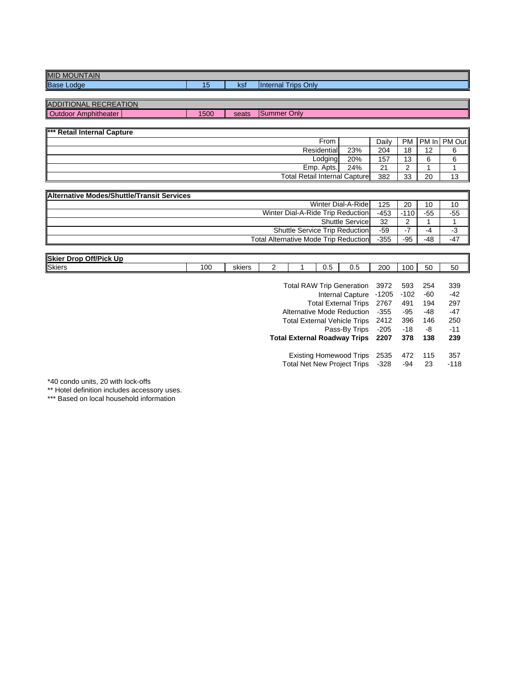| MID<br><b>NTAIN</b><br>JUN.<br>. NF |     |                  |                                    |
|-------------------------------------|-----|------------------|------------------------------------|
| Base<br>_odae                       | . . | <b>Lo</b><br>noi | Onlv<br><b>Inte</b><br>rips<br>mal |

| ADDITIONAL RECREATION<br>Outdoor Amphitheater |  |
|-----------------------------------------------|--|
|                                               |  |

 $1500$ seats Summer Only

| <b>K** Retail Internal Capture</b>   |     |       |           |    |              |
|--------------------------------------|-----|-------|-----------|----|--------------|
| From                                 |     | Dailv | <b>PM</b> |    | PM In PM Out |
| Residential                          | 23% | 204   | 18        | 12 |              |
| Lodging                              | 20% | 157   | 13        |    |              |
| Emp. Apts.                           | 24% | 21    |           |    |              |
| <b>Total Retail Internal Capture</b> |     | 382   | 33        | 20 | ៱            |

| <b>Alternative Modes/Shuttle/Transit Services</b> |        |        |       |       |
|---------------------------------------------------|--------|--------|-------|-------|
| Winter Dial-A-Ridel                               | 125    | 20     | 10    | 10    |
| Winter Dial-A-Ride Trip Reduction                 | $-453$ | $-110$ | $-55$ | $-55$ |
| <b>Shuttle Service</b>                            | 32     | ົ      |       |       |
| <b>Shuttle Service Trip Reduction</b>             | -59    | - 1    | -4    | -3    |
| <b>Total Alternative Mode Trip Reduction</b>      | $-355$ | $-95$  | -48   | $-47$ |

| Skier<br><b>Off/Pick Up</b><br>Drop |                |        |  |     |     |     |     |    |    |
|-------------------------------------|----------------|--------|--|-----|-----|-----|-----|----|----|
| <b>Skiers</b>                       | 0 <sup>c</sup> | skiers |  | v.J | ∪.、 | 200 | 100 | 50 | 50 |

| <b>Total RAW Trip Generation</b>    | 3972    | 593    | 254 | 339    |
|-------------------------------------|---------|--------|-----|--------|
| <b>Internal Capture</b>             | $-1205$ | $-102$ | -60 | $-42$  |
| <b>Total External Trips</b>         | 2767    | 491    | 194 | 297    |
| Alternative Mode Reduction          | $-355$  | $-95$  | -48 | $-47$  |
| <b>Total External Vehicle Trips</b> | 2412    | 396    | 146 | 250    |
| Pass-By Trips                       | $-205$  | $-18$  | -8  | $-11$  |
| <b>Total External Roadway Trips</b> | 2207    | 378    | 138 | 239    |
| <b>Existing Homewood Trips</b>      | 2535    | 472    | 115 | 357    |
| <b>Total Net New Project Trips</b>  | $-328$  | $-94$  | 23  | $-118$ |

\*40 condo units, 20 with lock-offs

\*\* Hotel definition includes accessory uses.

\*\*\* Based on local household information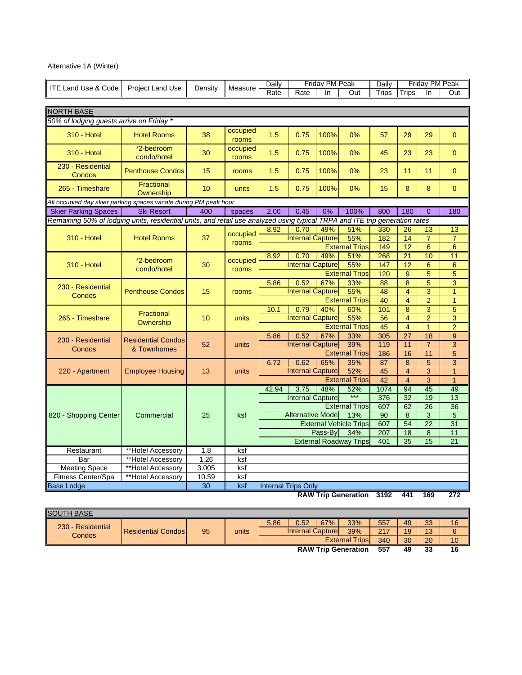# Alternative 1A (Winter)

|                                                                                                                             |                           |         |                   | Daily                      |                               | Friday PM Peak |                               | Daily           |                              | Friday PM Peak                   |                     |
|-----------------------------------------------------------------------------------------------------------------------------|---------------------------|---------|-------------------|----------------------------|-------------------------------|----------------|-------------------------------|-----------------|------------------------------|----------------------------------|---------------------|
| <b>ITE Land Use &amp; Code</b>                                                                                              | <b>Project Land Use</b>   | Density | Measure           | Rate                       | Rate                          | In             | Out                           | Trips           | Trips                        | In                               | Out                 |
|                                                                                                                             |                           |         |                   |                            |                               |                |                               |                 |                              |                                  |                     |
| <b>NORTH BASE</b>                                                                                                           |                           |         |                   |                            |                               |                |                               |                 |                              |                                  |                     |
| 50% of lodging guests arrive on Friday *                                                                                    |                           |         |                   |                            |                               |                |                               |                 |                              |                                  |                     |
| <b>310 - Hotel</b>                                                                                                          | <b>Hotel Rooms</b>        | 38      | occupied<br>rooms | 1.5                        | 0.75                          | 100%           | 0%                            | 57              | 29                           | 29                               | $\mathbf{0}$        |
| <b>310 - Hotel</b>                                                                                                          | *2-bedroom<br>condo/hotel | 30      | occupied<br>rooms | 1.5                        | 0.75                          | 100%           | 0%                            | 45              | 23                           | 23                               | $\overline{0}$      |
| 230 - Residential<br>Condos                                                                                                 | <b>Penthouse Condos</b>   | 15      | rooms             | 1.5                        | 0.75                          | 100%           | 0%                            | 23              | 11                           | 11                               | $\mathbf{0}$        |
| 265 - Timeshare                                                                                                             | Fractional<br>Ownership   | 10      | units             | 1.5                        | 0.75                          | 100%           | 0%                            | 15              | $\bf 8$                      | $\bf 8$                          | $\overline{0}$      |
| All occupied day skier parking spaces vacate during PM peak hour                                                            |                           |         |                   |                            |                               |                |                               |                 |                              |                                  |                     |
| <b>Skier Parking Spaces</b>                                                                                                 | <b>Ski Resort</b>         | 400     | spaces            | 2.00                       | 0.45                          | 0%             | 100%                          | 800             | 180                          | $\Omega$                         | 180                 |
| Remaining 50% of lodging units, residential units, and retail use analyzed using typical TRPA and ITE trip generation rates |                           |         |                   |                            |                               |                |                               |                 |                              |                                  |                     |
|                                                                                                                             |                           |         | occupied          | 8.92                       | 0.70                          | 49%            | 51%                           | 330             | 26                           | 13                               | 13                  |
| <b>310 - Hotel</b>                                                                                                          | <b>Hotel Rooms</b>        | 37      | rooms             |                            | <b>Internal Capture</b>       |                | 55%                           | 182             | $\overline{14}$              | $\overline{7}$                   | $\overline{7}$      |
|                                                                                                                             |                           |         |                   |                            |                               |                | <b>External Trips</b>         | 149             | 12                           | 6                                | 6                   |
|                                                                                                                             | *2-bedroom                |         | occupied          | 8.92                       | 0.70                          | 49%            | 51%                           | 268             | $\overline{21}$              | 10                               | 11                  |
| <b>310 - Hotel</b>                                                                                                          | condo/hotel               | 30      | rooms             |                            | <b>Internal Capture</b>       |                | 55%                           | 147             | $\overline{12}$              | $6\phantom{1}6$                  | 6                   |
|                                                                                                                             |                           |         |                   |                            | 0.52                          |                | <b>External Trips</b>         | 120<br>88       | $\mathbf 9$                  | $\overline{5}$<br>$\overline{5}$ | 5<br>$\overline{3}$ |
| 230 - Residential<br>Condos                                                                                                 | <b>Penthouse Condos</b>   | 15      |                   | 5.86                       | <b>Internal Capture</b>       | 67%            | 33%<br>55%                    | 48              | 8<br>$\overline{\mathbf{4}}$ | 3                                | $\overline{1}$      |
|                                                                                                                             |                           |         | rooms             |                            |                               |                | <b>External Trips</b>         | 40              | $\overline{4}$               | $\overline{2}$                   | $\overline{1}$      |
|                                                                                                                             |                           |         |                   | 10.1                       | 0.79                          | 40%            | 60%                           | 101             | $\overline{8}$               | $\overline{3}$                   | 5                   |
| 265 - Timeshare                                                                                                             | Fractional<br>Ownership   | 10      | units             |                            | <b>Internal Capture</b>       |                | 55%                           | 56              | 4                            | $\overline{2}$                   | $\overline{3}$      |
|                                                                                                                             |                           |         |                   |                            |                               |                | <b>External Trips</b>         | 45              | $\overline{4}$               | $\overline{1}$                   | $\overline{2}$      |
|                                                                                                                             |                           |         |                   | 5.86                       | 0.52                          | 67%            | 33%                           | 305             | $\overline{27}$              | 18                               | 9                   |
| 230 - Residential                                                                                                           | <b>Residential Condos</b> | 52      | units             |                            | <b>Internal Capture</b>       |                | 39%                           | 119             | 11                           | $\overline{7}$                   | 3                   |
| Condos                                                                                                                      | & Townhomes               |         |                   |                            |                               |                | <b>External Trips</b>         | 186             | 16                           | 11                               | 5                   |
|                                                                                                                             |                           |         |                   | 6.72                       | 0.62                          | 65%            | 35%                           | 87              | 8                            | $\overline{5}$                   | $\overline{3}$      |
| 220 - Apartment                                                                                                             | <b>Employee Housing</b>   | 13      | units             |                            | <b>Internal Capture</b>       |                | 52%                           | $\overline{45}$ | $\overline{4}$               | $\overline{3}$                   | $\overline{1}$      |
|                                                                                                                             |                           |         |                   |                            |                               |                | <b>External Trips</b>         | 42              | $\overline{4}$               | $\overline{3}$                   | $\overline{1}$      |
|                                                                                                                             |                           |         |                   | 42.94                      | 3.75                          | 48%            | 52%                           | 1074            | 94                           | 45                               | 49                  |
|                                                                                                                             |                           |         |                   |                            | <b>Internal Capture</b>       |                | ***                           | 376             | 32                           | 19                               | 13                  |
|                                                                                                                             |                           |         |                   |                            |                               |                | <b>External Trips</b>         | 697             | 62                           | 26                               | 36                  |
| 820 - Shopping Center                                                                                                       | Commercial                | 25      | ksf               |                            | <b>Alternative Mode</b>       |                | 13%                           | 90              | $\overline{8}$               | $\overline{3}$                   | $\overline{5}$      |
|                                                                                                                             |                           |         |                   |                            | <b>External Vehicle Trips</b> |                |                               |                 | 54                           | $\overline{22}$                  | 31                  |
|                                                                                                                             |                           |         |                   |                            |                               | Pass-By        | 34%                           | 207             | 18                           | $\bf 8$                          | 11                  |
|                                                                                                                             |                           |         |                   |                            |                               |                | <b>External Roadway Trips</b> | 401             | 35                           | 15                               | 21                  |
| Restaurant                                                                                                                  | **Hotel Accessory         | 1.8     | ksf               |                            |                               |                |                               |                 |                              |                                  |                     |
| Bar                                                                                                                         | **Hotel Accessory         | 1.26    | ksf               |                            |                               |                |                               |                 |                              |                                  |                     |
| <b>Meeting Space</b>                                                                                                        | **Hotel Accessory         | 3.005   | ksf               |                            |                               |                |                               |                 |                              |                                  |                     |
| Fitness Center/Spa                                                                                                          | **Hotel Accessory         | 10.59   | ksf               |                            |                               |                |                               |                 |                              |                                  |                     |
| <b>Base Lodge</b>                                                                                                           |                           | 30      | ksf               | <b>Internal Trips Only</b> |                               |                |                               |                 |                              |                                  |                     |

**RAW Trip Generation 3192 441 169 272**

| <b>SOUTH BASE</b>           |                           |    |       |                  |      |     |                            |     |    |    |    |
|-----------------------------|---------------------------|----|-------|------------------|------|-----|----------------------------|-----|----|----|----|
| 230 - Residential<br>Condos | <b>Residential Condos</b> | 95 | units | 5.86             | 0.52 | 67% | 33%                        | 557 | 49 | 33 | 16 |
|                             |                           |    |       | Internal Capture | 217  | 19  | 13                         |     |    |    |    |
|                             |                           |    |       |                  |      |     | <b>External Trips</b>      | 340 | 30 | 20 | 10 |
|                             |                           |    |       |                  |      |     | <b>RAW Trip Generation</b> | 557 | 49 | 33 | 16 |
|                             |                           |    |       |                  |      |     |                            |     |    |    |    |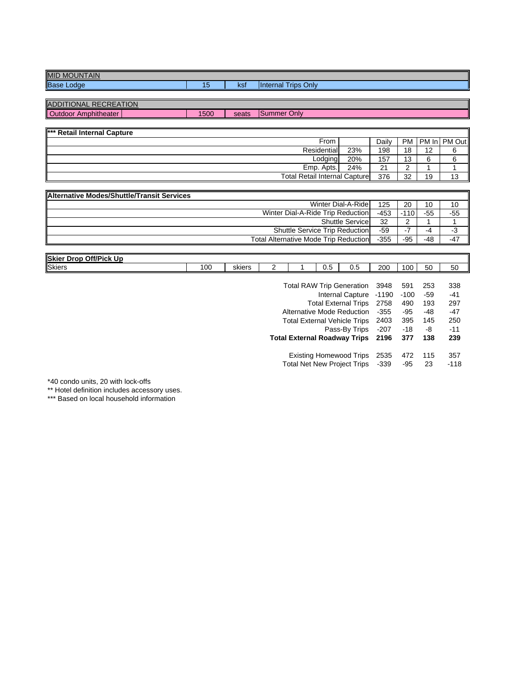| MID<br><b>NTAIN</b><br>JUN.<br>. NF |     |                  |                                    |
|-------------------------------------|-----|------------------|------------------------------------|
| Base<br>_odae                       | . . | <b>Lo</b><br>noi | Onlv<br><b>Inte</b><br>rips<br>mal |

| ADDITIONAL RECREATION<br>Outdoor Amphitheater |  |
|-----------------------------------------------|--|
|                                               |  |

 $1500$ seats Summer Only

| <b>*** Retail Internal Capture</b>   |             |     |       |    |    |                     |
|--------------------------------------|-------------|-----|-------|----|----|---------------------|
|                                      | From        |     | Dailv |    |    | PM I PM In I PM Out |
|                                      | Residential | 23% | 198   | 18 | 12 |                     |
|                                      | Lodging     | 20% | 157   | 13 |    |                     |
|                                      | Emp. Apts.  | 24% | 21    |    |    |                     |
| <b>Total Retail Internal Capture</b> |             |     | 376   | 32 | 19 | 12<br>ر ا           |

| <b>IAIternative Modes/Shuttle/Transit Services</b> |        |        |       |       |
|----------------------------------------------------|--------|--------|-------|-------|
| Winter Dial-A-Ride                                 | 125    | 20     | 10    | 10    |
| Winter Dial-A-Ride Trip Reduction                  | $-453$ | $-110$ | $-55$ | $-55$ |
| <b>Shuttle Service</b>                             | 32     | ົ      |       |       |
| <b>Shuttle Service Trip Reduction</b>              | -59    |        | -4    | -3    |
| <b>Total Alternative Mode Trip Reduction</b>       | $-355$ | $-95$  | -48   | $-47$ |

| Skier<br><b>Off/Pick Up</b><br>Drop |                |        |  |     |     |     |     |    |    |
|-------------------------------------|----------------|--------|--|-----|-----|-----|-----|----|----|
| <b>Skiers</b>                       | 0 <sup>c</sup> | skiers |  | v.J | ∪.、 | 200 | 100 | 50 | 50 |

| <b>Total RAW Trip Generation</b>    | 3948    | 591    | 253   | 338    |
|-------------------------------------|---------|--------|-------|--------|
| <b>Internal Capture</b>             | $-1190$ | $-100$ | $-59$ | $-41$  |
| <b>Total External Trips</b>         | 2758    | 490    | 193   | 297    |
| Alternative Mode Reduction          | $-355$  | $-95$  | -48   | $-47$  |
| <b>Total External Vehicle Trips</b> | 2403    | 395    | 145   | 250    |
| Pass-By Trips                       | $-207$  | $-18$  | -8    | $-11$  |
| <b>Total External Roadway Trips</b> | 2196    | 377    | 138   | 239    |
| <b>Existing Homewood Trips</b>      | 2535    | 472    | 115   | 357    |
| <b>Total Net New Project Trips</b>  | $-339$  | -95    | 23    | $-118$ |

\*40 condo units, 20 with lock-offs

\*\* Hotel definition includes accessory uses.

\*\*\* Based on local household information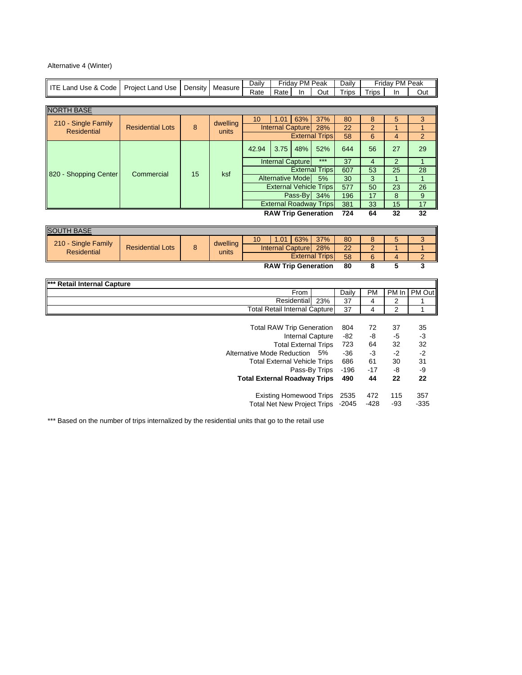# Alternative 4 (Winter)

| Rate<br><b>Trips</b><br><b>Trips</b><br>Rate<br>In<br>Out<br>In<br>Out<br><b>NORTH BASE</b><br>63%<br>37%<br>1.01<br>5<br>10 <sup>°</sup><br>80<br>8<br>3<br>210 - Single Family<br>dwelling<br>8<br><b>Internal Capture</b><br>$\overline{22}$<br>$\overline{2}$<br><b>Residential Lots</b><br>28%<br>1<br>1<br><b>Residential</b><br>units<br><b>External Trips</b><br>6<br>58<br>4<br>$\overline{2}$<br>48%<br>52%<br>29<br>42.94<br>3.75<br>644<br>56<br>27<br>$***$<br><b>Internal Capture</b><br>37<br>$\overline{4}$<br>$\overline{2}$<br>$\mathbf{1}$<br>$\overline{25}$<br>53<br>28<br><b>External Trips</b><br>607<br>Commercial<br>15<br>ksf<br>820 - Shopping Center<br><b>Alternative Mode</b><br>$\overline{1}$<br>$\overline{1}$<br>3<br>5%<br>30<br><b>External Vehicle Trips</b><br>577<br>50<br>23<br>26<br>8<br>9<br>Pass-By<br>34%<br>196<br>17<br><b>External Roadway Trips</b><br>381<br>33<br>15<br>17<br><b>RAW Trip Generation</b><br>32<br>724<br>64<br>$\overline{32}$<br><b>SOUTH BASE</b><br>63%<br>37%<br>8<br>5<br>3<br>10 <sup>1</sup><br>1.01<br>80<br>210 - Single Family<br>dwelling<br>8<br><b>Residential Lots</b><br>Internal Capture<br>28%<br>22<br>$\overline{2}$<br>1<br>1<br><b>Residential</b><br>units<br><b>External Trips</b><br>6<br>58<br>$\overline{4}$<br>$\overline{2}$<br>$\overline{\mathbf{3}}$<br>$\overline{\mathbf{8}}$<br>5<br><b>RAW Trip Generation</b><br>80<br><b>Retail Internal Capture</b><br>PM Out<br>From<br>Daily<br><b>PM</b><br>PM In<br>Residential<br>23%<br>37<br>2<br>4<br>1<br>$\overline{2}$<br><b>Total Retail Internal Capture</b><br>37<br>4<br>1<br><b>Total RAW Trip Generation</b><br>804<br>37<br>35<br>72<br><b>Internal Capture</b><br>$-82$<br>-8<br>$-5$<br>$-3$<br>32<br>32<br><b>Total External Trips</b><br>723<br>64<br>$-2$<br>$-2$<br>Alternative Mode Reduction<br>$-36$<br>$-3$<br>5%<br>30<br>31<br><b>Total External Vehicle Trips</b><br>686<br>61<br>Pass-By Trips<br>$-196$<br>-8<br>-9<br>$-17$<br>22<br><b>Total External Roadway Trips</b><br>490<br>44<br>22<br><b>Existing Homewood Trips</b><br>357<br>2535<br>472<br>115 |                                |                  |         | Friday PM Peak<br><b>Daily</b> |  |  |  | Daily | Friday PM Peak |  |
|---------------------------------------------------------------------------------------------------------------------------------------------------------------------------------------------------------------------------------------------------------------------------------------------------------------------------------------------------------------------------------------------------------------------------------------------------------------------------------------------------------------------------------------------------------------------------------------------------------------------------------------------------------------------------------------------------------------------------------------------------------------------------------------------------------------------------------------------------------------------------------------------------------------------------------------------------------------------------------------------------------------------------------------------------------------------------------------------------------------------------------------------------------------------------------------------------------------------------------------------------------------------------------------------------------------------------------------------------------------------------------------------------------------------------------------------------------------------------------------------------------------------------------------------------------------------------------------------------------------------------------------------------------------------------------------------------------------------------------------------------------------------------------------------------------------------------------------------------------------------------------------------------------------------------------------------------------------------------------------------------------------------------------------------------------------------------------------------------------------------------------------|--------------------------------|------------------|---------|--------------------------------|--|--|--|-------|----------------|--|
|                                                                                                                                                                                                                                                                                                                                                                                                                                                                                                                                                                                                                                                                                                                                                                                                                                                                                                                                                                                                                                                                                                                                                                                                                                                                                                                                                                                                                                                                                                                                                                                                                                                                                                                                                                                                                                                                                                                                                                                                                                                                                                                                       | <b>ITE Land Use &amp; Code</b> | Project Land Use | Density | Measure                        |  |  |  |       |                |  |
|                                                                                                                                                                                                                                                                                                                                                                                                                                                                                                                                                                                                                                                                                                                                                                                                                                                                                                                                                                                                                                                                                                                                                                                                                                                                                                                                                                                                                                                                                                                                                                                                                                                                                                                                                                                                                                                                                                                                                                                                                                                                                                                                       |                                |                  |         |                                |  |  |  |       |                |  |
|                                                                                                                                                                                                                                                                                                                                                                                                                                                                                                                                                                                                                                                                                                                                                                                                                                                                                                                                                                                                                                                                                                                                                                                                                                                                                                                                                                                                                                                                                                                                                                                                                                                                                                                                                                                                                                                                                                                                                                                                                                                                                                                                       |                                |                  |         |                                |  |  |  |       |                |  |
|                                                                                                                                                                                                                                                                                                                                                                                                                                                                                                                                                                                                                                                                                                                                                                                                                                                                                                                                                                                                                                                                                                                                                                                                                                                                                                                                                                                                                                                                                                                                                                                                                                                                                                                                                                                                                                                                                                                                                                                                                                                                                                                                       |                                |                  |         |                                |  |  |  |       |                |  |
|                                                                                                                                                                                                                                                                                                                                                                                                                                                                                                                                                                                                                                                                                                                                                                                                                                                                                                                                                                                                                                                                                                                                                                                                                                                                                                                                                                                                                                                                                                                                                                                                                                                                                                                                                                                                                                                                                                                                                                                                                                                                                                                                       |                                |                  |         |                                |  |  |  |       |                |  |
|                                                                                                                                                                                                                                                                                                                                                                                                                                                                                                                                                                                                                                                                                                                                                                                                                                                                                                                                                                                                                                                                                                                                                                                                                                                                                                                                                                                                                                                                                                                                                                                                                                                                                                                                                                                                                                                                                                                                                                                                                                                                                                                                       |                                |                  |         |                                |  |  |  |       |                |  |
|                                                                                                                                                                                                                                                                                                                                                                                                                                                                                                                                                                                                                                                                                                                                                                                                                                                                                                                                                                                                                                                                                                                                                                                                                                                                                                                                                                                                                                                                                                                                                                                                                                                                                                                                                                                                                                                                                                                                                                                                                                                                                                                                       |                                |                  |         |                                |  |  |  |       |                |  |
|                                                                                                                                                                                                                                                                                                                                                                                                                                                                                                                                                                                                                                                                                                                                                                                                                                                                                                                                                                                                                                                                                                                                                                                                                                                                                                                                                                                                                                                                                                                                                                                                                                                                                                                                                                                                                                                                                                                                                                                                                                                                                                                                       |                                |                  |         |                                |  |  |  |       |                |  |
|                                                                                                                                                                                                                                                                                                                                                                                                                                                                                                                                                                                                                                                                                                                                                                                                                                                                                                                                                                                                                                                                                                                                                                                                                                                                                                                                                                                                                                                                                                                                                                                                                                                                                                                                                                                                                                                                                                                                                                                                                                                                                                                                       |                                |                  |         |                                |  |  |  |       |                |  |
|                                                                                                                                                                                                                                                                                                                                                                                                                                                                                                                                                                                                                                                                                                                                                                                                                                                                                                                                                                                                                                                                                                                                                                                                                                                                                                                                                                                                                                                                                                                                                                                                                                                                                                                                                                                                                                                                                                                                                                                                                                                                                                                                       |                                |                  |         |                                |  |  |  |       |                |  |
|                                                                                                                                                                                                                                                                                                                                                                                                                                                                                                                                                                                                                                                                                                                                                                                                                                                                                                                                                                                                                                                                                                                                                                                                                                                                                                                                                                                                                                                                                                                                                                                                                                                                                                                                                                                                                                                                                                                                                                                                                                                                                                                                       |                                |                  |         |                                |  |  |  |       |                |  |
|                                                                                                                                                                                                                                                                                                                                                                                                                                                                                                                                                                                                                                                                                                                                                                                                                                                                                                                                                                                                                                                                                                                                                                                                                                                                                                                                                                                                                                                                                                                                                                                                                                                                                                                                                                                                                                                                                                                                                                                                                                                                                                                                       |                                |                  |         |                                |  |  |  |       |                |  |
|                                                                                                                                                                                                                                                                                                                                                                                                                                                                                                                                                                                                                                                                                                                                                                                                                                                                                                                                                                                                                                                                                                                                                                                                                                                                                                                                                                                                                                                                                                                                                                                                                                                                                                                                                                                                                                                                                                                                                                                                                                                                                                                                       |                                |                  |         |                                |  |  |  |       |                |  |
|                                                                                                                                                                                                                                                                                                                                                                                                                                                                                                                                                                                                                                                                                                                                                                                                                                                                                                                                                                                                                                                                                                                                                                                                                                                                                                                                                                                                                                                                                                                                                                                                                                                                                                                                                                                                                                                                                                                                                                                                                                                                                                                                       |                                |                  |         |                                |  |  |  |       |                |  |
|                                                                                                                                                                                                                                                                                                                                                                                                                                                                                                                                                                                                                                                                                                                                                                                                                                                                                                                                                                                                                                                                                                                                                                                                                                                                                                                                                                                                                                                                                                                                                                                                                                                                                                                                                                                                                                                                                                                                                                                                                                                                                                                                       |                                |                  |         |                                |  |  |  |       |                |  |
|                                                                                                                                                                                                                                                                                                                                                                                                                                                                                                                                                                                                                                                                                                                                                                                                                                                                                                                                                                                                                                                                                                                                                                                                                                                                                                                                                                                                                                                                                                                                                                                                                                                                                                                                                                                                                                                                                                                                                                                                                                                                                                                                       |                                |                  |         |                                |  |  |  |       |                |  |
|                                                                                                                                                                                                                                                                                                                                                                                                                                                                                                                                                                                                                                                                                                                                                                                                                                                                                                                                                                                                                                                                                                                                                                                                                                                                                                                                                                                                                                                                                                                                                                                                                                                                                                                                                                                                                                                                                                                                                                                                                                                                                                                                       |                                |                  |         |                                |  |  |  |       |                |  |
|                                                                                                                                                                                                                                                                                                                                                                                                                                                                                                                                                                                                                                                                                                                                                                                                                                                                                                                                                                                                                                                                                                                                                                                                                                                                                                                                                                                                                                                                                                                                                                                                                                                                                                                                                                                                                                                                                                                                                                                                                                                                                                                                       |                                |                  |         |                                |  |  |  |       |                |  |
|                                                                                                                                                                                                                                                                                                                                                                                                                                                                                                                                                                                                                                                                                                                                                                                                                                                                                                                                                                                                                                                                                                                                                                                                                                                                                                                                                                                                                                                                                                                                                                                                                                                                                                                                                                                                                                                                                                                                                                                                                                                                                                                                       |                                |                  |         |                                |  |  |  |       |                |  |
|                                                                                                                                                                                                                                                                                                                                                                                                                                                                                                                                                                                                                                                                                                                                                                                                                                                                                                                                                                                                                                                                                                                                                                                                                                                                                                                                                                                                                                                                                                                                                                                                                                                                                                                                                                                                                                                                                                                                                                                                                                                                                                                                       |                                |                  |         |                                |  |  |  |       |                |  |
|                                                                                                                                                                                                                                                                                                                                                                                                                                                                                                                                                                                                                                                                                                                                                                                                                                                                                                                                                                                                                                                                                                                                                                                                                                                                                                                                                                                                                                                                                                                                                                                                                                                                                                                                                                                                                                                                                                                                                                                                                                                                                                                                       |                                |                  |         |                                |  |  |  |       |                |  |
|                                                                                                                                                                                                                                                                                                                                                                                                                                                                                                                                                                                                                                                                                                                                                                                                                                                                                                                                                                                                                                                                                                                                                                                                                                                                                                                                                                                                                                                                                                                                                                                                                                                                                                                                                                                                                                                                                                                                                                                                                                                                                                                                       |                                |                  |         |                                |  |  |  |       |                |  |
|                                                                                                                                                                                                                                                                                                                                                                                                                                                                                                                                                                                                                                                                                                                                                                                                                                                                                                                                                                                                                                                                                                                                                                                                                                                                                                                                                                                                                                                                                                                                                                                                                                                                                                                                                                                                                                                                                                                                                                                                                                                                                                                                       |                                |                  |         |                                |  |  |  |       |                |  |
|                                                                                                                                                                                                                                                                                                                                                                                                                                                                                                                                                                                                                                                                                                                                                                                                                                                                                                                                                                                                                                                                                                                                                                                                                                                                                                                                                                                                                                                                                                                                                                                                                                                                                                                                                                                                                                                                                                                                                                                                                                                                                                                                       |                                |                  |         |                                |  |  |  |       |                |  |
|                                                                                                                                                                                                                                                                                                                                                                                                                                                                                                                                                                                                                                                                                                                                                                                                                                                                                                                                                                                                                                                                                                                                                                                                                                                                                                                                                                                                                                                                                                                                                                                                                                                                                                                                                                                                                                                                                                                                                                                                                                                                                                                                       |                                |                  |         |                                |  |  |  |       |                |  |
|                                                                                                                                                                                                                                                                                                                                                                                                                                                                                                                                                                                                                                                                                                                                                                                                                                                                                                                                                                                                                                                                                                                                                                                                                                                                                                                                                                                                                                                                                                                                                                                                                                                                                                                                                                                                                                                                                                                                                                                                                                                                                                                                       |                                |                  |         |                                |  |  |  |       |                |  |
|                                                                                                                                                                                                                                                                                                                                                                                                                                                                                                                                                                                                                                                                                                                                                                                                                                                                                                                                                                                                                                                                                                                                                                                                                                                                                                                                                                                                                                                                                                                                                                                                                                                                                                                                                                                                                                                                                                                                                                                                                                                                                                                                       |                                |                  |         |                                |  |  |  |       |                |  |
|                                                                                                                                                                                                                                                                                                                                                                                                                                                                                                                                                                                                                                                                                                                                                                                                                                                                                                                                                                                                                                                                                                                                                                                                                                                                                                                                                                                                                                                                                                                                                                                                                                                                                                                                                                                                                                                                                                                                                                                                                                                                                                                                       |                                |                  |         |                                |  |  |  |       |                |  |
|                                                                                                                                                                                                                                                                                                                                                                                                                                                                                                                                                                                                                                                                                                                                                                                                                                                                                                                                                                                                                                                                                                                                                                                                                                                                                                                                                                                                                                                                                                                                                                                                                                                                                                                                                                                                                                                                                                                                                                                                                                                                                                                                       |                                |                  |         |                                |  |  |  |       |                |  |
|                                                                                                                                                                                                                                                                                                                                                                                                                                                                                                                                                                                                                                                                                                                                                                                                                                                                                                                                                                                                                                                                                                                                                                                                                                                                                                                                                                                                                                                                                                                                                                                                                                                                                                                                                                                                                                                                                                                                                                                                                                                                                                                                       |                                |                  |         |                                |  |  |  |       |                |  |
|                                                                                                                                                                                                                                                                                                                                                                                                                                                                                                                                                                                                                                                                                                                                                                                                                                                                                                                                                                                                                                                                                                                                                                                                                                                                                                                                                                                                                                                                                                                                                                                                                                                                                                                                                                                                                                                                                                                                                                                                                                                                                                                                       |                                |                  |         |                                |  |  |  |       |                |  |
|                                                                                                                                                                                                                                                                                                                                                                                                                                                                                                                                                                                                                                                                                                                                                                                                                                                                                                                                                                                                                                                                                                                                                                                                                                                                                                                                                                                                                                                                                                                                                                                                                                                                                                                                                                                                                                                                                                                                                                                                                                                                                                                                       |                                |                  |         |                                |  |  |  |       |                |  |
|                                                                                                                                                                                                                                                                                                                                                                                                                                                                                                                                                                                                                                                                                                                                                                                                                                                                                                                                                                                                                                                                                                                                                                                                                                                                                                                                                                                                                                                                                                                                                                                                                                                                                                                                                                                                                                                                                                                                                                                                                                                                                                                                       |                                |                  |         |                                |  |  |  |       |                |  |
| Total Net New Project Trips -2045<br>$-428$<br>$-93$<br>$-335$                                                                                                                                                                                                                                                                                                                                                                                                                                                                                                                                                                                                                                                                                                                                                                                                                                                                                                                                                                                                                                                                                                                                                                                                                                                                                                                                                                                                                                                                                                                                                                                                                                                                                                                                                                                                                                                                                                                                                                                                                                                                        |                                |                  |         |                                |  |  |  |       |                |  |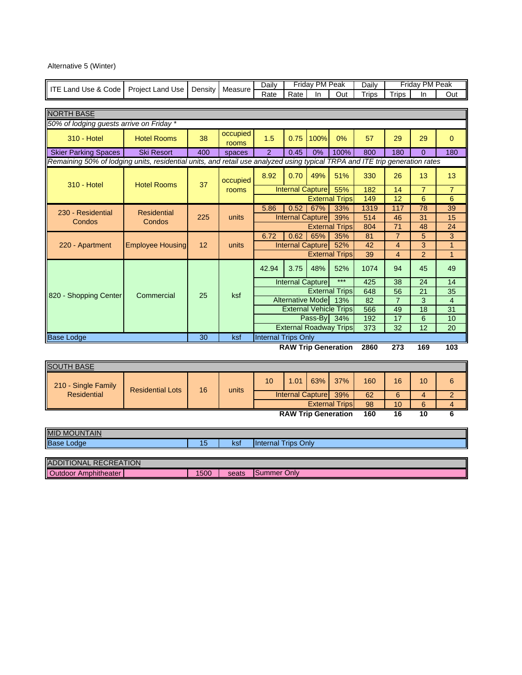# Alternative 5 (Winter)

| ITE Land Use & Code                                                                                                         |                         |         | Measure           | Daily                      |                                 | Friday PM Peak          |                                      | Daily        |                                  | Friday PM Peak |                      |
|-----------------------------------------------------------------------------------------------------------------------------|-------------------------|---------|-------------------|----------------------------|---------------------------------|-------------------------|--------------------------------------|--------------|----------------------------------|----------------|----------------------|
|                                                                                                                             | Project Land Use        | Density |                   | Rate                       | Rate                            | In                      | Out                                  | <b>Trips</b> | <b>Trips</b>                     | In             | Out                  |
|                                                                                                                             |                         |         |                   |                            |                                 |                         |                                      |              |                                  |                |                      |
| <b>NORTH BASE</b>                                                                                                           |                         |         |                   |                            |                                 |                         |                                      |              |                                  |                |                      |
| 50% of lodging guests arrive on Friday *                                                                                    |                         |         |                   |                            |                                 |                         |                                      |              |                                  |                |                      |
| <b>310 - Hotel</b>                                                                                                          | <b>Hotel Rooms</b>      | 38      | occupied<br>rooms | 1.5                        | 0.75                            | 100%                    | 0%                                   | 57           | 29                               | 29             | $\Omega$             |
| <b>Skier Parking Spaces</b>                                                                                                 | <b>Ski Resort</b>       | 400     | spaces            | $\overline{2}$             | 0.45                            | 0%                      | 100%                                 | 800          | 180                              | $\Omega$       | 180                  |
| Remaining 50% of lodging units, residential units, and retail use analyzed using typical TRPA and ITE trip generation rates |                         |         |                   |                            |                                 |                         |                                      |              |                                  |                |                      |
| <b>310 - Hotel</b>                                                                                                          | <b>Hotel Rooms</b>      | 37      | occupied          | 8.92                       | 0.70                            | 49%                     | 51%                                  | 330          | 26                               | 13             | 13                   |
|                                                                                                                             |                         |         | rooms             |                            | <b>Internal Capture</b>         |                         | 55%                                  | 182          | 14                               | $\overline{7}$ | $\overline{7}$       |
|                                                                                                                             |                         |         |                   |                            |                                 |                         | <b>External Trips</b>                | 149          | 12                               | 6              | 6                    |
| 230 - Residential                                                                                                           | <b>Residential</b>      |         |                   | 5.86                       | 0.52                            | 67%                     | 33%                                  | 1319         | 117                              | 78             | 39                   |
| Condos                                                                                                                      | Condos                  | 225     | units             |                            | <b>Internal Capture</b>         |                         | 39%                                  | 514          | 46                               | 31             | 15                   |
|                                                                                                                             |                         |         |                   |                            |                                 |                         | <b>External Trips</b>                | 804          | 71                               | 48             | 24                   |
|                                                                                                                             |                         | 12      | units             | 6.72                       | 0.62<br><b>Internal Capture</b> | 65%                     | 35%<br>52%                           | 81<br>42     | $\overline{7}$<br>$\overline{4}$ | 5<br>3         | 3<br>$\overline{1}$  |
| 220 - Apartment                                                                                                             | <b>Employee Housing</b> |         |                   |                            |                                 |                         | <b>External Trips</b>                | 39           | $\overline{4}$                   | $\overline{2}$ | $\overline{1}$       |
|                                                                                                                             |                         |         |                   |                            |                                 |                         |                                      |              |                                  |                |                      |
|                                                                                                                             |                         |         |                   | 42.94                      | 3.75                            | 48%                     | 52%<br>$***$                         | 1074         | 94                               | 45             | 49                   |
|                                                                                                                             |                         |         |                   |                            | <b>Internal Capture</b>         |                         |                                      | 425          | 38                               | 24             | 14                   |
| 820 - Shopping Center                                                                                                       | Commercial              | 25      | ksf               |                            |                                 |                         | <b>External Trips</b>                | 648          | 56                               | 21             | 35                   |
|                                                                                                                             |                         |         |                   |                            |                                 | <b>Alternative Mode</b> | 13%<br><b>External Vehicle Trips</b> | 82<br>566    | $\overline{7}$<br>49             | 3<br>18        | $\overline{4}$<br>31 |
|                                                                                                                             |                         |         |                   |                            |                                 | Pass-By 34%             |                                      | 192          | 17                               | 6              | 10                   |
|                                                                                                                             |                         |         |                   |                            |                                 |                         | <b>External Roadway Trips</b>        | 373          | 32                               | 12             | 20                   |
| <b>Base Lodge</b>                                                                                                           |                         | 30      | ksf               | <b>Internal Trips Only</b> |                                 |                         |                                      |              |                                  |                |                      |
|                                                                                                                             |                         |         |                   |                            |                                 |                         | <b>RAW Trip Generation</b>           | 2860         | 273                              | 169            | 103                  |
|                                                                                                                             |                         |         |                   |                            |                                 |                         |                                      |              |                                  |                |                      |
| <b>SOUTH BASE</b>                                                                                                           |                         |         |                   |                            |                                 |                         |                                      |              |                                  |                |                      |
| 210 - Single Family                                                                                                         |                         |         |                   | 10                         | 1.01                            | 63%                     | 37%                                  | 160          | 16                               | 10             | 6                    |
| <b>Residential</b>                                                                                                          | <b>Residential Lots</b> | 16      | units             |                            | <b>Internal Capture</b>         |                         | 39%                                  | 62           | 6                                | 4              | $\overline{2}$       |
|                                                                                                                             |                         |         |                   |                            |                                 |                         | <b>External Trips</b>                | 98           | 10                               | 6              | $\overline{4}$       |

**RAW Trip Generation 160 16 10 6**

| <b>MID MOUNTAIN</b>          |      |       |                            |
|------------------------------|------|-------|----------------------------|
| <b>Base Lodge</b>            | 15   | ksf   | <b>Internal Trips Only</b> |
|                              |      |       |                            |
| <b>ADDITIONAL RECREATION</b> |      |       |                            |
| Outdoor Amphitheater         | 1500 | seats | Summer Only                |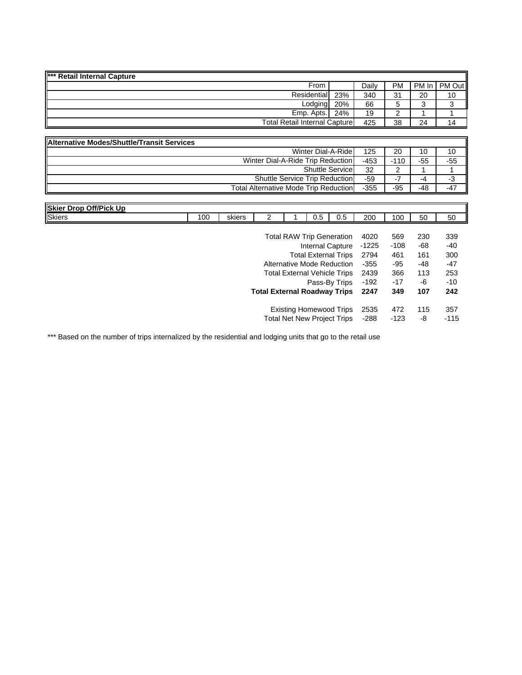| *** Retail Internal Capture |                                      |       |           |    |                |
|-----------------------------|--------------------------------------|-------|-----------|----|----------------|
| From                        |                                      | Dailv | <b>PM</b> |    | PM In   PM Out |
| Residential                 | 23%                                  | 340   | 31        | 20 | 10             |
| Lodging                     | 20%                                  | 66    |           |    |                |
| Emp. Apts.                  | 24%                                  | 19    |           |    |                |
|                             | <b>Total Retail Internal Capture</b> |       |           | 24 | 14             |

| Alternative Modes/Shuttle/Transit Services   |      |        |     |       |
|----------------------------------------------|------|--------|-----|-------|
| Winter Dial-A-Ride                           | 125  | 20     | 10  | 10    |
| Winter Dial-A-Ride Trip Reduction            | -453 | $-110$ | -55 | $-55$ |
| <b>Shuttle Service</b>                       | 32   |        |     |       |
| <b>Shuttle Service Trip Reduction</b>        | -59  | - 1    | -4  | -3    |
| <b>Total Alternative Mode Trip Reduction</b> | -355 | -95    | -48 | $-47$ |

| <b>Skier Drop Off/Pick Up</b> |     |        |                                     |     |                                     |         |        |     |        |
|-------------------------------|-----|--------|-------------------------------------|-----|-------------------------------------|---------|--------|-----|--------|
| <b>Skiers</b>                 | 100 | skiers | 2                                   | 0.5 | $0.5\,$                             | 200     | 100    | 50  | 50     |
|                               |     |        |                                     |     |                                     |         |        |     |        |
|                               |     |        |                                     |     | <b>Total RAW Trip Generation</b>    | 4020    | 569    | 230 | 339    |
|                               |     |        |                                     |     | Internal Capture                    | $-1225$ | $-108$ | -68 | -40    |
|                               |     |        |                                     |     | <b>Total External Trips</b>         | 2794    | 461    | 161 | 300    |
|                               |     |        |                                     |     | Alternative Mode Reduction          | $-355$  | $-95$  | -48 | -47    |
|                               |     |        |                                     |     | <b>Total External Vehicle Trips</b> | 2439    | 366    | 113 | 253    |
|                               |     |        |                                     |     | Pass-By Trips                       | $-192$  | $-17$  | -6  | $-10$  |
|                               |     |        | <b>Total External Roadway Trips</b> |     |                                     | 2247    | 349    | 107 | 242    |
|                               |     |        |                                     |     | <b>Existing Homewood Trips</b>      | 2535    | 472    | 115 | 357    |
|                               |     |        |                                     |     | <b>Total Net New Project Trips</b>  | $-288$  | $-123$ | -8  | $-115$ |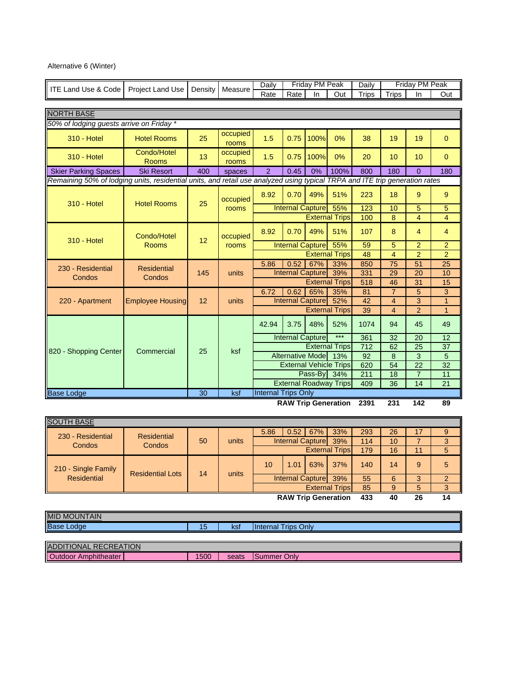# Alternative 6 (Winter)

| <b>ITE Land Use &amp; Code</b>                                                                                              | <b>Project Land Use</b>     | Density | Measure           | Daily                      |                                               | Friday PM Peak |                               | Daily        |                |                 |                                                                                                                                                                                                                                |
|-----------------------------------------------------------------------------------------------------------------------------|-----------------------------|---------|-------------------|----------------------------|-----------------------------------------------|----------------|-------------------------------|--------------|----------------|-----------------|--------------------------------------------------------------------------------------------------------------------------------------------------------------------------------------------------------------------------------|
|                                                                                                                             |                             |         |                   | Rate                       | Rate                                          | <b>In</b>      | Out                           | <b>Trips</b> | <b>Trips</b>   | In.             | Out                                                                                                                                                                                                                            |
|                                                                                                                             |                             |         |                   |                            |                                               |                |                               |              |                |                 |                                                                                                                                                                                                                                |
| <b>NORTH BASE</b>                                                                                                           |                             |         |                   |                            |                                               |                |                               |              |                |                 |                                                                                                                                                                                                                                |
| 50% of lodging guests arrive on Friday *                                                                                    |                             |         |                   |                            |                                               |                |                               |              |                |                 |                                                                                                                                                                                                                                |
| <b>310 - Hotel</b>                                                                                                          | <b>Hotel Rooms</b>          | 25      | occupied<br>rooms | 1.5                        | 0.75                                          | 100%           | 0%                            | 38           | 19             | 19              | $\mathbf{0}$                                                                                                                                                                                                                   |
| <b>310 - Hotel</b>                                                                                                          | Condo/Hotel<br><b>Rooms</b> | 13      | occupied<br>rooms | 1.5                        | 0.75                                          | 100%           | 0%                            | 20           | 10             | 10              | $\mathbf{0}$                                                                                                                                                                                                                   |
| <b>Skier Parking Spaces</b>                                                                                                 | <b>Ski Resort</b>           | 400     | spaces            | $\overline{2}$             | 0.45                                          | 0%             | 100%                          | 800          | 180            | $\Omega$        | 180                                                                                                                                                                                                                            |
| Remaining 50% of lodging units, residential units, and retail use analyzed using typical TRPA and ITE trip generation rates |                             |         |                   |                            |                                               |                |                               |              |                |                 |                                                                                                                                                                                                                                |
| <b>310 - Hotel</b>                                                                                                          | <b>Hotel Rooms</b>          | 25      | occupied          | 8.92                       | 0.70                                          | 49%            | 51%                           | 223          | 18             | 9               | 9                                                                                                                                                                                                                              |
|                                                                                                                             |                             |         | rooms             |                            | <b>Internal Capture</b>                       |                | 55%                           | 123          | 10             | 5               | Friday PM Peak<br>5<br>$\overline{4}$<br>$\overline{4}$<br>$\overline{2}$<br>$\overline{2}$<br>25<br>10<br>15<br>3<br>$\mathbf{1}$<br>$\overline{1}$<br>49<br>$\overline{12}$<br>37<br>5<br>32<br>11<br>21<br>$\overline{110}$ |
|                                                                                                                             |                             |         |                   |                            | <b>External Trips</b>                         |                |                               |              | 8              | $\overline{4}$  |                                                                                                                                                                                                                                |
| <b>310 - Hotel</b>                                                                                                          | Condo/Hotel                 | 12      | occupied          | 8.92                       | 0.70                                          | 49%            | 51%                           | 107          | 8              | $\overline{4}$  |                                                                                                                                                                                                                                |
|                                                                                                                             | <b>Rooms</b>                |         | rooms             |                            | <b>Internal Capture</b>                       |                | 55%                           | 59           | 5              | $\overline{2}$  |                                                                                                                                                                                                                                |
|                                                                                                                             |                             |         |                   |                            |                                               |                | <b>External Trips</b>         | 48           | $\overline{4}$ | $\overline{2}$  |                                                                                                                                                                                                                                |
| 230 - Residential                                                                                                           | <b>Residential</b>          |         |                   | 5.86                       | 0.52                                          | 67%            | 33%                           | 850          | 75             | 51              |                                                                                                                                                                                                                                |
| Condos                                                                                                                      | Condos                      | 145     | units             |                            | <b>Internal Capture</b>                       |                | 39%                           | 331          | 29             | 20              |                                                                                                                                                                                                                                |
|                                                                                                                             |                             |         |                   |                            |                                               |                | <b>External Trips</b>         | 518          | 46             | 31              |                                                                                                                                                                                                                                |
|                                                                                                                             |                             |         |                   | 6.72                       | 0.62                                          | 65%            | 35%                           | 81           | 7              | 5               |                                                                                                                                                                                                                                |
| 220 - Apartment                                                                                                             | <b>Employee Housing</b>     | 12      | units             |                            | <b>Internal Capture</b>                       |                | 52%                           | 42           | $\overline{4}$ | 3               |                                                                                                                                                                                                                                |
|                                                                                                                             |                             |         |                   |                            |                                               |                | <b>External Trips</b>         | 39           | $\overline{4}$ | $\overline{2}$  |                                                                                                                                                                                                                                |
|                                                                                                                             |                             |         |                   | 42.94                      | 3.75                                          | 48%            | 52%                           | 1074         | 94             | 45              |                                                                                                                                                                                                                                |
|                                                                                                                             |                             |         |                   |                            | <b>Internal Capture</b>                       |                | $***$                         | 361          | 32             | $\overline{20}$ |                                                                                                                                                                                                                                |
| 820 - Shopping Center                                                                                                       | Commercial                  | 25      | ksf               |                            |                                               |                | <b>External Trips</b>         | 712          | 62             | 25              |                                                                                                                                                                                                                                |
|                                                                                                                             |                             |         |                   |                            | <b>Alternative Mode</b>                       |                | 13%                           | 92           | 8              | 3               |                                                                                                                                                                                                                                |
|                                                                                                                             |                             |         |                   |                            |                                               |                | <b>External Vehicle Trips</b> | 620          | 54             | 22              |                                                                                                                                                                                                                                |
|                                                                                                                             |                             |         |                   |                            |                                               | Pass-By        | 34%                           | 211          | 18             | $\overline{7}$  |                                                                                                                                                                                                                                |
|                                                                                                                             |                             |         |                   |                            |                                               |                | <b>External Roadway Trips</b> | 409          | 36             | 14              |                                                                                                                                                                                                                                |
| <b>Base Lodge</b>                                                                                                           |                             | 30      | ksf               | <b>Internal Trips Only</b> | $PANU$ $T$ $\omega$ $Q_{2}$ $\omega$ $\omega$ |                | وسافي                         |              | nn a           |                 |                                                                                                                                                                                                                                |

**RAW Trip Generation 2391 231 142 89**

| <b>SOUTH BASE</b>   |                         |    |       |      |                          |            |                            |     |    |    |   |
|---------------------|-------------------------|----|-------|------|--------------------------|------------|----------------------------|-----|----|----|---|
| 230 - Residential   | <b>Residential</b>      |    |       | 5.86 |                          | $0.52$ 67% | 33%                        | 293 | 26 |    | 9 |
| Condos              | Condos                  | 50 | units |      | Internal Capture         |            | 39%                        | 114 | 10 |    |   |
|                     |                         |    |       |      |                          |            | <b>External Trips</b>      | 179 | 16 | 11 | 5 |
| 210 - Single Family | <b>Residential Lots</b> | 14 | units | 10   | 1.01                     | 63%        | 37%                        | 140 | 14 | 9  | 5 |
| Residential         |                         |    |       |      | <b>Internal Capturel</b> |            | 39%                        | 55  | 6  |    |   |
|                     |                         |    |       |      |                          |            | <b>External Trips</b>      | 85  | 9  |    |   |
|                     |                         |    |       |      |                          |            | <b>RAW Trip Generation</b> | 433 | 40 | 26 |   |

| MID MOUNTAIN<br>Base Lodge   | 15   | ksf   | <b>Internal Trips Only</b> |
|------------------------------|------|-------|----------------------------|
|                              |      |       |                            |
| <b>ADDITIONAL RECREATION</b> |      |       |                            |
| <b>Outdoor Amphitheater</b>  | 1500 | seats | Summer Only                |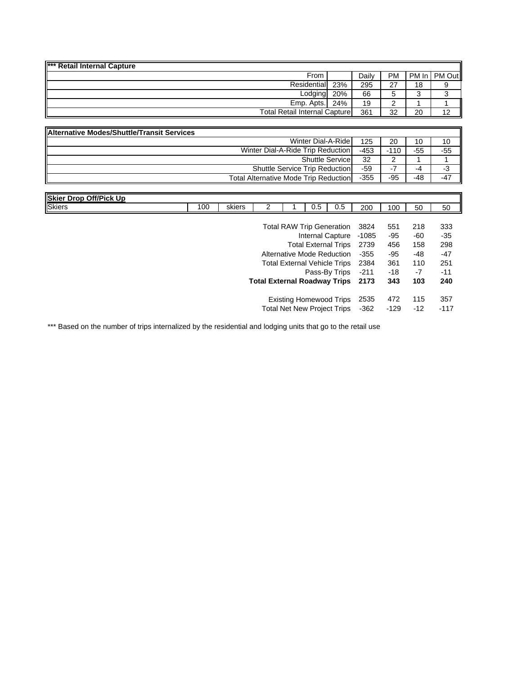| *** Retail Internal Capture           |     |       |             |       |        |
|---------------------------------------|-----|-------|-------------|-------|--------|
| From                                  |     | Daily | <b>PM</b>   | PM In | PM Out |
| Residential                           | 23% | 295   | 27          | 18    | 9      |
| Lodging                               | 20% | 66    | 5.          |       | ົ<br>ັ |
| Emp. Apts.                            | 24% | 19    | $\sim$<br>∼ |       |        |
| <b>Total Retail Internal Capturel</b> |     | 361   | 32          | 20    | 12     |

| <b>Alternative Modes/Shuttle/Transit Services</b> |        |        |     |       |
|---------------------------------------------------|--------|--------|-----|-------|
| Winter Dial-A-Ride                                | 125    | 20     | 10  | 10    |
| Winter Dial-A-Ride Trip Reduction                 | $-453$ | $-110$ | -55 | $-55$ |
| <b>Shuttle Service</b>                            | 32     |        |     |       |
| <b>Shuttle Service Trip Reduction</b>             | -59    |        | -4  | -3    |
| <b>Total Alternative Mode Trip Reduction</b>      | $-355$ | -95    | -48 | $-47$ |

| <b>Skier Drop Off/Pick Up</b> |     |        |  |     |                                     |                                |     |     |     |
|-------------------------------|-----|--------|--|-----|-------------------------------------|--------------------------------|-----|-----|-----|
| <b>Skiers</b>                 | 100 | skiers |  | 0.5 | 0.5                                 | 200                            | 100 | 50  | 50  |
|                               |     |        |  |     |                                     |                                |     |     |     |
|                               |     |        |  |     |                                     | Total RAW Trip Generation 3824 | 551 | 218 | 333 |
|                               |     |        |  |     |                                     | Internal Capture -1085         | -95 | -60 | -35 |
|                               |     |        |  |     | Total External Trips 2739           |                                | 456 | 158 | 298 |
|                               |     |        |  |     | Alternative Mode Reduction          | -355                           | -95 | -48 | -47 |
|                               |     |        |  |     | <b>Total External Vehicle Trips</b> | 2384                           | 361 | 110 | 251 |

| Pass-By Trips -211                       | -18  | -7    | $-11$  |
|------------------------------------------|------|-------|--------|
| <b>Total External Roadway Trips</b> 2173 | -343 | 103   | 240    |
|                                          |      |       |        |
| Existing Homewood Trips 2535             | 472  | - 115 | 357    |
| Total Net New Project Trips -362         | -129 | $-12$ | $-117$ |
|                                          |      |       |        |